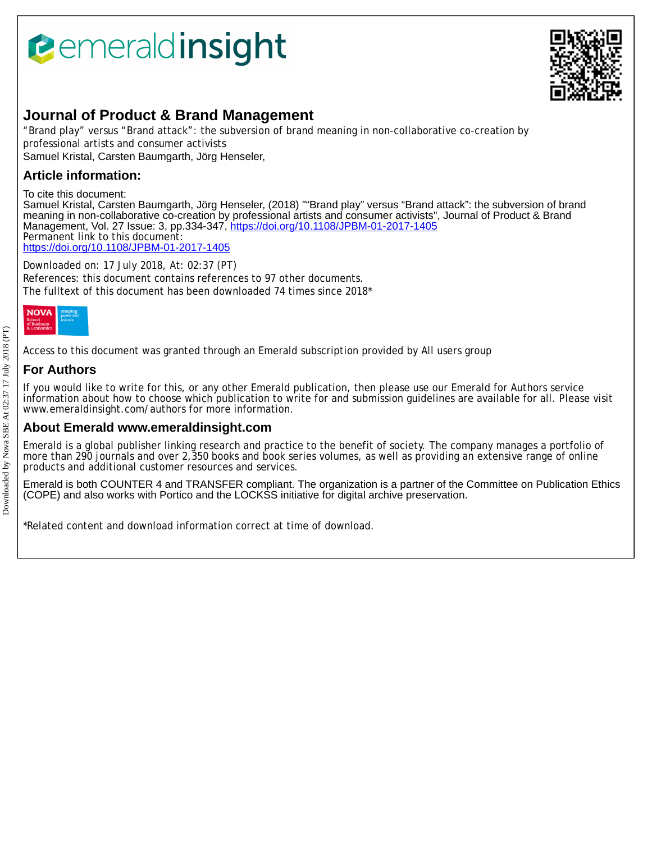# *<u><b>Pemeraldinsight</u>*



# **Journal of Product & Brand Management**

"Brand play" versus "Brand attack": the subversion of brand meaning in non-collaborative co-creation by professional artists and consumer activists Samuel Kristal, Carsten Baumgarth, Jörg Henseler,

# **Article information:**

To cite this document:

Samuel Kristal, Carsten Baumgarth, Jörg Henseler, (2018) ""Brand play" versus "Brand attack": the subversion of brand meaning in non-collaborative co-creation by professional artists and consumer activists", Journal of Product & Brand Management, Vol. 27 Issue: 3, pp.334-347,<https://doi.org/10.1108/JPBM-01-2017-1405> Permanent link to this document: <https://doi.org/10.1108/JPBM-01-2017-1405>

Downloaded on: 17 July 2018, At: 02:37 (PT) References: this document contains references to 97 other documents. The fulltext of this document has been downloaded 74 times since 2018\*



Access to this document was granted through an Emerald subscription provided by All users group

# **For Authors**

If you would like to write for this, or any other Emerald publication, then please use our Emerald for Authors service information about how to choose which publication to write for and submission guidelines are available for all. Please visit www.emeraldinsight.com/authors for more information.

## **About Emerald www.emeraldinsight.com**

Emerald is a global publisher linking research and practice to the benefit of society. The company manages a portfolio of more than 290 journals and over 2,350 books and book series volumes, as well as providing an extensive range of online products and additional customer resources and services.

Emerald is both COUNTER 4 and TRANSFER compliant. The organization is a partner of the Committee on Publication Ethics (COPE) and also works with Portico and the LOCKSS initiative for digital archive preservation.

\*Related content and download information correct at time of download.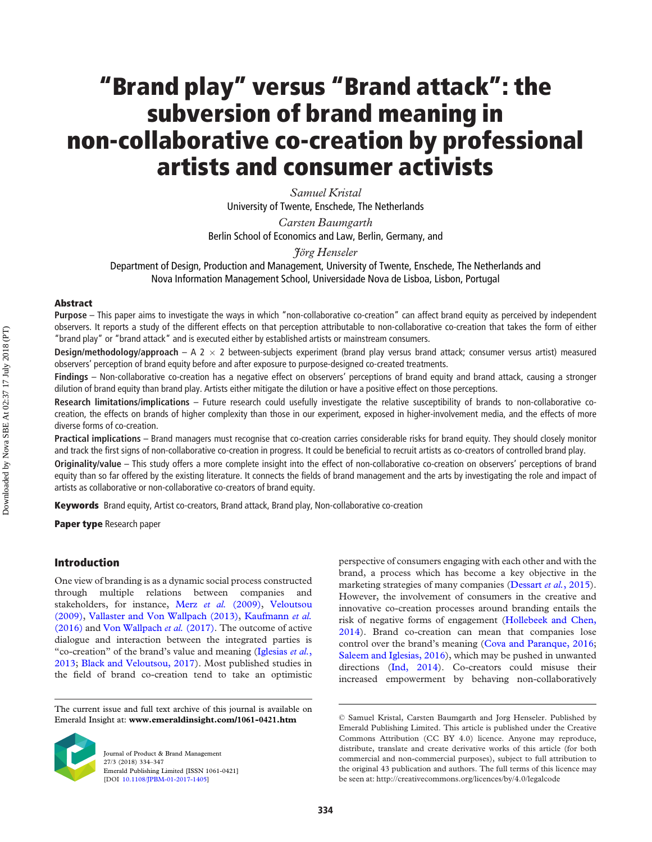# **"Brand play" versus "Brand attack": the subversion of brand meaning in non-collaborative co-creation by professional artists and consumer activists**

*Samuel Kristal*  University of Twente, Enschede, The Netherlands

*Carsten Baumgarth*  Berlin School of Economics and Law, Berlin, Germany, and

*Jörg Henseler* 

Department of Design, Production and Management, University of Twente, Enschede, The Netherlands and Nova Information Management School, Universidade Nova de Lisboa, Lisbon, Portugal

#### **Abstract**

**Purpose** – This paper aims to investigate the ways in which "non-collaborative co-creation" can affect brand equity as perceived by independent observers. It reports a study of the different effects on that perception attributable to non-collaborative co-creation that takes the form of either "brand play" or "brand attack" and is executed either by established artists or mainstream consumers.

**Design/methodology/approach** – A 2 � 2 between-subjects experiment (brand play versus brand attack; consumer versus artist) measured observers' perception of brand equity before and after exposure to purpose-designed co-created treatments.

**Findings** – Non-collaborative co-creation has a negative effect on observers' perceptions of brand equity and brand attack, causing a stronger dilution of brand equity than brand play. Artists either mitigate the dilution or have a positive effect on those perceptions.

**Research limitations/implications** – Future research could usefully investigate the relative susceptibility of brands to non-collaborative cocreation, the effects on brands of higher complexity than those in our experiment, exposed in higher-involvement media, and the effects of more diverse forms of co-creation.

**Practical implications** – Brand managers must recognise that co-creation carries considerable risks for brand equity. They should closely monitor and track the first signs of non-collaborative co-creation in progress. It could be beneficial to recruit artists as co-creators of controlled brand play.

**Originality/value** – This study offers a more complete insight into the effect of non-collaborative co-creation on observers' perceptions of brand equity than so far offered by the existing literature. It connects the fields of brand management and the arts by investigating the role and impact of artists as collaborative or non-collaborative co-creators of brand equity.

**Keywords** Brand equity, Artist co-creators, Brand attack, Brand play, Non-collaborative co-creation

**Paper type** Research paper

#### **Introduction**

One view of branding is as a dynamic social process constructed through multiple relations between companies and stakeholders, for instance, Merz *et al.* [\(2009\)](#page-12-0), [Veloutsou](#page-12-1)  [\(2009\)](#page-12-1), [Vallaster and Von Wallpach \(2013\)](#page-12-2), [Kaufmann](#page-11-0) *et al.*  [\(2016\)](#page-11-0) and [Von Wallpach](#page-13-0) *et al.* (2017). The outcome of active dialogue and interaction between the integrated parties is "co-creation" of the brand's value and meaning ([Iglesias](#page-11-1) *et al.*, [2013;](#page-11-1) [Black and Veloutsou, 2017](#page-10-0)). Most published studies in the field of brand co-creation tend to take an optimistic

The current issue and full text archive of this journal is available on Emerald Insight at: **www.emeraldinsight.com/1061-0421.htm** 



Journal of Product & Brand Management 27/3 (2018) 334–347 Emerald Publishing Limited [ISSN 1061-0421] [DOI [10.1108/JPBM-01-2017-1405\]](http://dx.doi.org/10.1108/JPBM-01-2017-1405)

perspective of consumers engaging with each other and with the brand, a process which has become a key objective in the marketing strategies of many companies ([Dessart](#page-11-2) *et al.*, 2015). However, the involvement of consumers in the creative and innovative co-creation processes around branding entails the risk of negative forms of engagement ([Hollebeek and Chen,](#page-11-3)  [2014\)](#page-11-3). Brand co-creation can mean that companies lose control over the brand's meaning ([Cova and Paranque, 2016](#page-11-4); [Saleem and Iglesias, 2016](#page-12-3)), which may be pushed in unwanted directions [\(Ind, 2014\)](#page-11-5). Co-creators could misuse their increased empowerment by behaving non-collaboratively

<sup>©</sup> Samuel Kristal, Carsten Baumgarth and Jorg Henseler. Published by Emerald Publishing Limited. This article is published under the Creative Commons Attribution (CC BY 4.0) licence. Anyone may reproduce, distribute, translate and create derivative works of this article (for both commercial and non-commercial purposes), subject to full attribution to the original 43 publication and authors. The full terms of this licence may be seen at: http://creativecommons.org/licences/by/4.0/legalcode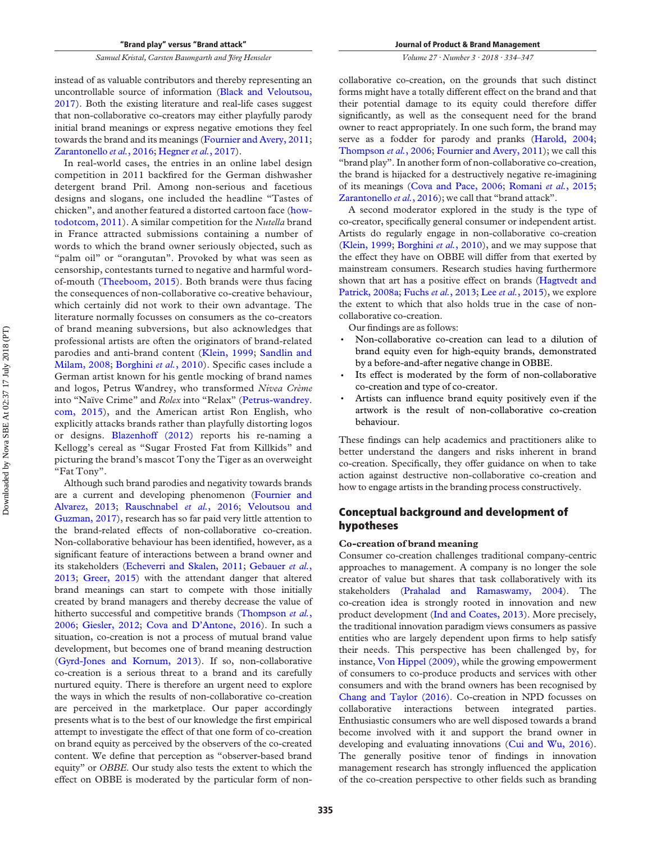instead of as valuable contributors and thereby representing an uncontrollable source of information ([Black and Veloutsou,](#page-10-0)  [2017\)](#page-10-0). Both the existing literature and real-life cases suggest that non-collaborative co-creators may either playfully parody initial brand meanings or express negative emotions they feel towards the brand and its meanings ([Fournier and Avery, 2011](#page-11-6); [Zarantonello](#page-13-1) *et al.*, 2016; [Hegner](#page-11-7) *et al.*, 2017).

In real-world cases, the entries in an online label design competition in 2011 backfired for the German dishwasher detergent brand Pril. Among non-serious and facetious designs and slogans, one included the headline "Tastes of chicken", and another featured a distorted cartoon face ([how](#page-11-8)[todotcom, 2011\)](#page-11-8). A similar competition for the *Nutella* brand in France attracted submissions containing a number of words to which the brand owner seriously objected, such as "palm oil" or "orangutan". Provoked by what was seen as censorship, contestants turned to negative and harmful wordof-mouth ([Theeboom, 2015\)](#page-12-4). Both brands were thus facing the consequences of non-collaborative co-creative behaviour, which certainly did not work to their own advantage. The literature normally focusses on consumers as the co-creators of brand meaning subversions, but also acknowledges that professional artists are often the originators of brand-related parodies and anti-brand content ([Klein, 1999](#page-12-5); [Sandlin and](#page-12-6) [Milam, 2008](#page-12-6); [Borghini](#page-10-1) *et al.*, 2010). Specific cases include a German artist known for his gentle mocking of brand names and logos, Petrus Wandrey, who transformed *Nivea Crème*  into "Naïve Crime" and *Rolex* into "Relax" ([Petrus-wandrey.](#page-12-7) [com, 2015](#page-12-7)), and the American artist Ron English, who explicitly attacks brands rather than playfully distorting logos or designs. [Blazenhoff \(2012\)](#page-10-2) reports his re-naming a Kellogg's cereal as "Sugar Frosted Fat from Killkids" and picturing the brand's mascot Tony the Tiger as an overweight "Fat Tony".

Although such brand parodies and negativity towards brands are a current and developing phenomenon [\(Fournier and](#page-11-9)  [Alvarez, 2013](#page-11-9); [Rauschnabel](#page-12-8) *et al.*, 2016; [Veloutsou and](#page-13-2)  [Guzman, 2017](#page-13-2)), research has so far paid very little attention to the brand-related effects of non-collaborative co-creation. Non-collaborative behaviour has been identified, however, as a significant feature of interactions between a brand owner and its stakeholders ([Echeverri and Skalen, 2011;](#page-11-10) [Gebauer](#page-11-11) *et al.*, [2013;](#page-11-11) [Greer, 2015](#page-11-12)) with the attendant danger that altered brand meanings can start to compete with those initially created by brand managers and thereby decrease the value of hitherto successful and competitive brands ([Thompson](#page-12-9) *et al.*, [2006;](#page-12-9) [Giesler, 2012;](#page-11-13) [Cova and D'Antone, 2016](#page-10-3)). In such a situation, co-creation is not a process of mutual brand value development, but becomes one of brand meaning destruction [\(Gyrd-Jones and Kornum, 2013\)](#page-11-14). If so, non-collaborative co-creation is a serious threat to a brand and its carefully nurtured equity. There is therefore an urgent need to explore the ways in which the results of non-collaborative co-creation are perceived in the marketplace. Our paper accordingly presents what is to the best of our knowledge the first empirical attempt to investigate the effect of that one form of co-creation on brand equity as perceived by the observers of the co-created content. We define that perception as "observer-based brand equity" or *OBBE*. Our study also tests the extent to which the effect on OBBE is moderated by the particular form of non-

#### *Volume 27 · Number 3 · 2018 · 334–347*

collaborative co-creation, on the grounds that such distinct forms might have a totally different effect on the brand and that their potential damage to its equity could therefore differ significantly, as well as the consequent need for the brand owner to react appropriately. In one such form, the brand may serve as a fodder for parody and pranks [\(Harold, 2004](#page-11-15); [Thompson](#page-12-9) *et al.*, 2006; [Fournier and Avery, 2011\)](#page-11-6); we call this "brand play". In another form of non-collaborative co-creation, the brand is hijacked for a destructively negative re-imagining of its meanings [\(Cova and Pace, 2006](#page-10-4); [Romani](#page-12-10) *et al.*, 2015; [Zarantonello](#page-13-1) *et al.*, 2016); we call that "brand attack".

A second moderator explored in the study is the type of co-creator, specifically general consumer or independent artist. Artists do regularly engage in non-collaborative co-creation [\(Klein, 1999;](#page-12-5) [Borghini](#page-10-1) *et al.*, 2010), and we may suppose that the effect they have on OBBE will differ from that exerted by mainstream consumers. Research studies having furthermore shown that art has a positive effect on brands [\(Hagtvedt and](#page-11-16)  [Patrick, 2008a;](#page-11-16) [Fuchs](#page-11-17) *et al.*, 2013; Lee *et al.*[, 2015\)](#page-12-11), we explore the extent to which that also holds true in the case of noncollaborative co-creation.

Our findings are as follows:

- � Non-collaborative co-creation can lead to a dilution of brand equity even for high-equity brands, demonstrated by a before-and-after negative change in OBBE.
- Its effect is moderated by the form of non-collaborative co-creation and type of co-creator.
- � Artists can influence brand equity positively even if the artwork is the result of non-collaborative co-creation behaviour.

These findings can help academics and practitioners alike to better understand the dangers and risks inherent in brand co-creation. Specifically, they offer guidance on when to take action against destructive non-collaborative co-creation and how to engage artists in the branding process constructively.

#### **Conceptual background and development of hypotheses**

#### **Co-creation of brand meaning**

Consumer co-creation challenges traditional company-centric approaches to management. A company is no longer the sole creator of value but shares that task collaboratively with its stakeholders ([Prahalad and Ramaswamy, 2004](#page-12-12)). The co-creation idea is strongly rooted in innovation and new product development ([Ind and Coates, 2013\)](#page-11-18). More precisely, the traditional innovation paradigm views consumers as passive entities who are largely dependent upon firms to help satisfy their needs. This perspective has been challenged by, for instance, [Von Hippel \(2009\)](#page-13-3), while the growing empowerment of consumers to co-produce products and services with other consumers and with the brand owners has been recognised by [Chang and Taylor \(2016\).](#page-10-5) Co-creation in NPD focusses on collaborative interactions between integrated parties. Enthusiastic consumers who are well disposed towards a brand become involved with it and support the brand owner in developing and evaluating innovations ([Cui and Wu, 2016\)](#page-11-19). The generally positive tenor of findings in innovation management research has strongly influenced the application of the co-creation perspective to other fields such as branding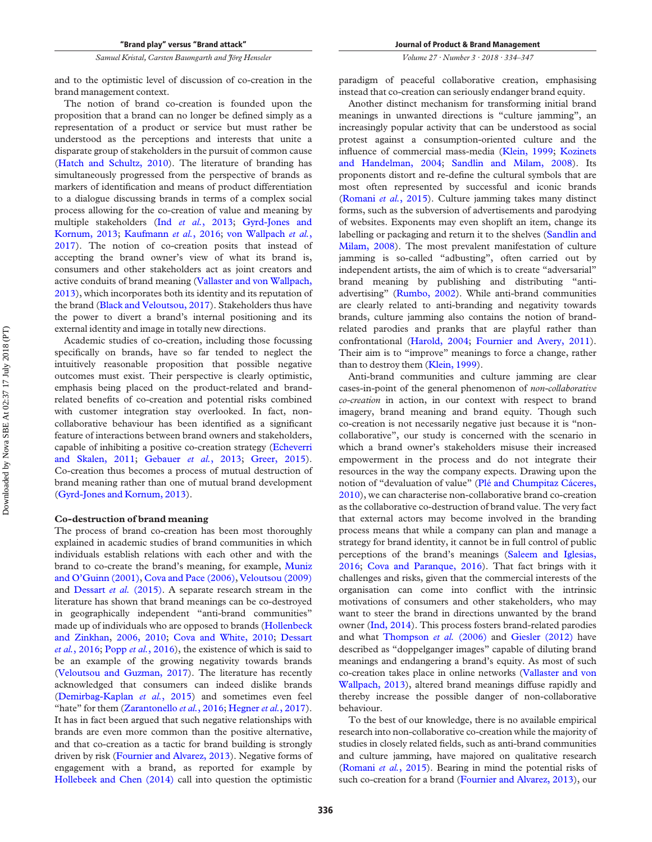and to the optimistic level of discussion of co-creation in the brand management context.

The notion of brand co-creation is founded upon the proposition that a brand can no longer be defined simply as a representation of a product or service but must rather be understood as the perceptions and interests that unite a disparate group of stakeholders in the pursuit of common cause [\(Hatch and Schultz, 2010](#page-11-20)). The literature of branding has simultaneously progressed from the perspective of brands as markers of identification and means of product differentiation to a dialogue discussing brands in terms of a complex social process allowing for the co-creation of value and meaning by multiple stakeholders (Ind *et al.*[, 2013;](#page-11-21) [Gyrd-Jones and](#page-11-14)  [Kornum, 2013](#page-11-14); [Kaufmann](#page-11-0) *et al.*, 2016; [von Wallpach](#page-13-0) *et al.*, [2017\)](#page-13-0). The notion of co-creation posits that instead of accepting the brand owner's view of what its brand is, consumers and other stakeholders act as joint creators and active conduits of brand meaning [\(Vallaster and von Wallpach,](#page-12-2)  [2013\)](#page-12-2), which incorporates both its identity and its reputation of the brand [\(Black and Veloutsou, 2017](#page-10-0)). Stakeholders thus have the power to divert a brand's internal positioning and its external identity and image in totally new directions.

Academic studies of co-creation, including those focussing specifically on brands, have so far tended to neglect the intuitively reasonable proposition that possible negative outcomes must exist. Their perspective is clearly optimistic, emphasis being placed on the product-related and brandrelated benefits of co-creation and potential risks combined with customer integration stay overlooked. In fact, noncollaborative behaviour has been identified as a significant feature of interactions between brand owners and stakeholders, capable of inhibiting a positive co-creation strategy [\(Echeverri](#page-11-10)  [and Skalen, 2011](#page-11-10); [Gebauer](#page-11-11) *et al.*, 2013; [Greer, 2015\)](#page-11-12). Co-creation thus becomes a process of mutual destruction of brand meaning rather than one of mutual brand development [\(Gyrd-Jones and Kornum, 2013\)](#page-11-14).

#### **Co-destruction of brand meaning**

The process of brand co-creation has been most thoroughly explained in academic studies of brand communities in which individuals establish relations with each other and with the brand to co-create the brand's meaning, for example, [Muniz](#page-12-13)  [and O'Guinn \(2001\),](#page-12-13) [Cova and Pace \(2006\),](#page-10-4) [Veloutsou \(2009\)](#page-12-1)  and [Dessart](#page-11-2) *et al.* (2015). A separate research stream in the literature has shown that brand meanings can be co-destroyed in geographically independent "anti-brand communities" made up of individuals who are opposed to brands ([Hollenbeck](#page-11-22)  [and Zinkhan](#page-11-22), [2006, 2010](#page-11-23); [Cova and White, 2010;](#page-11-24) [Dessart](#page-11-25)  *et al.*[, 2016](#page-11-25); Popp *et al.*[, 2016](#page-12-14)), the existence of which is said to be an example of the growing negativity towards brands [\(Veloutsou and Guzman, 2017\)](#page-13-2). The literature has recently acknowledged that consumers can indeed dislike brands [\(Demirbag-Kaplan](#page-11-26) *et al.*, 2015) and sometimes even feel "hate" for them [\(Zarantonello](#page-13-1) *et al.*, 2016; [Hegner](#page-11-7) *et al.*, 2017). It has in fact been argued that such negative relationships with brands are even more common than the positive alternative, and that co-creation as a tactic for brand building is strongly driven by risk ([Fournier and Alvarez, 2013](#page-11-9)). Negative forms of engagement with a brand, as reported for example by [Hollebeek and Chen \(2014\)](#page-11-3) call into question the optimistic *Volume 27 · Number 3 · 2018 · 334–347* 

paradigm of peaceful collaborative creation, emphasising instead that co-creation can seriously endanger brand equity.

Another distinct mechanism for transforming initial brand meanings in unwanted directions is "culture jamming", an increasingly popular activity that can be understood as social protest against a consumption-oriented culture and the influence of commercial mass-media [\(Klein, 1999](#page-12-5); [Kozinets](#page-12-15)  [and Handelman, 2004](#page-12-15); [Sandlin and Milam, 2008](#page-12-6)). Its proponents distort and re-define the cultural symbols that are most often represented by successful and iconic brands [\(Romani](#page-12-10) *et al.*, 2015). Culture jamming takes many distinct forms, such as the subversion of advertisements and parodying of websites. Exponents may even shoplift an item, change its labelling or packaging and return it to the shelves (Sandlin and [Milam, 2008](#page-12-6)). The most prevalent manifestation of culture jamming is so-called "adbusting", often carried out by independent artists, the aim of which is to create "adversarial" brand meaning by publishing and distributing "antiadvertising" ([Rumbo, 2002](#page-12-16)). While anti-brand communities are clearly related to anti-branding and negativity towards brands, culture jamming also contains the notion of brandrelated parodies and pranks that are playful rather than confrontational [\(Harold, 2004](#page-11-15); [Fournier and Avery, 2011\)](#page-11-6). Their aim is to "improve" meanings to force a change, rather than to destroy them ([Klein, 1999](#page-12-5)).

Anti-brand communities and culture jamming are clear cases-in-point of the general phenomenon of *non-collaborative co-creation* in action, in our context with respect to brand imagery, brand meaning and brand equity. Though such co-creation is not necessarily negative just because it is "noncollaborative", our study is concerned with the scenario in which a brand owner's stakeholders misuse their increased empowerment in the process and do not integrate their resources in the way the company expects. Drawing upon the notion of "devaluation of value" [\(Plé and Chumpitaz Cáceres,](#page-12-17)  [2010\)](#page-12-17), we can characterise non-collaborative brand co-creation as the collaborative co-destruction of brand value. The very fact that external actors may become involved in the branding process means that while a company can plan and manage a strategy for brand identity, it cannot be in full control of public perceptions of the brand's meanings [\(Saleem and Iglesias,](#page-12-3)  [2016;](#page-12-3) [Cova and Paranque, 2016\)](#page-11-4). That fact brings with it challenges and risks, given that the commercial interests of the organisation can come into conflict with the intrinsic motivations of consumers and other stakeholders, who may want to steer the brand in directions unwanted by the brand owner ([Ind, 2014\)](#page-11-5). This process fosters brand-related parodies and what [Thompson](#page-12-9) *et al.* (2006) and [Giesler \(2012\)](#page-11-13) have described as "doppelganger images" capable of diluting brand meanings and endangering a brand's equity. As most of such co-creation takes place in online networks [\(Vallaster and von](#page-12-2)  [Wallpach, 2013\)](#page-12-2), altered brand meanings diffuse rapidly and thereby increase the possible danger of non-collaborative behaviour.

To the best of our knowledge, there is no available empirical research into non-collaborative co-creation while the majority of studies in closely related fields, such as anti-brand communities and culture jamming, have majored on qualitative research [\(Romani](#page-12-10) *et al.*, 2015). Bearing in mind the potential risks of such co-creation for a brand ([Fournier and Alvarez, 2013](#page-11-9)), our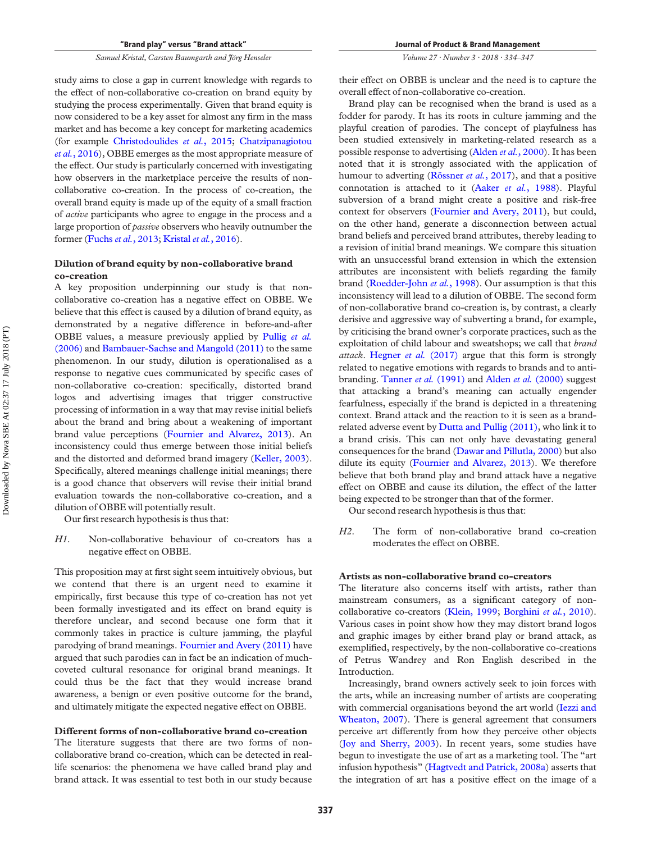*Volume 27 · Number 3 · 2018 · 334–347* 

study aims to close a gap in current knowledge with regards to the effect of non-collaborative co-creation on brand equity by studying the process experimentally. Given that brand equity is now considered to be a key asset for almost any firm in the mass market and has become a key concept for marketing academics (for example [Christodoulides](#page-10-6) *et al.*, 2015; [Chatzipanagiotou](#page-10-7)  *et al.*[, 2016](#page-10-7)), OBBE emerges as the most appropriate measure of the effect. Our study is particularly concerned with investigating how observers in the marketplace perceive the results of noncollaborative co-creation. In the process of co-creation, the overall brand equity is made up of the equity of a small fraction of *active* participants who agree to engage in the process and a large proportion of *passive* observers who heavily outnumber the former [\(Fuchs](#page-11-17) *et al.*, 2013; [Kristal](#page-12-18) *et al.*, 2016).

#### **Dilution of brand equity by non-collaborative brand co-creation**

A key proposition underpinning our study is that noncollaborative co-creation has a negative effect on OBBE. We believe that this effect is caused by a dilution of brand equity, as demonstrated by a negative difference in before-and-after OBBE values, a measure previously applied by [Pullig](#page-12-19) *et al.*  [\(2006\)](#page-12-19) and [Bambauer-Sachse and Mangold \(2011\)](#page-10-8) to the same phenomenon. In our study, dilution is operationalised as a response to negative cues communicated by specific cases of non-collaborative co-creation: specifically, distorted brand logos and advertising images that trigger constructive processing of information in a way that may revise initial beliefs about the brand and bring about a weakening of important brand value perceptions [\(Fournier and Alvarez, 2013\)](#page-11-9). An inconsistency could thus emerge between those initial beliefs and the distorted and deformed brand imagery ([Keller, 2003\)](#page-12-20). Specifically, altered meanings challenge initial meanings; there is a good chance that observers will revise their initial brand evaluation towards the non-collaborative co-creation, and a dilution of OBBE will potentially result.

Our first research hypothesis is thus that:

*H1*. Non-collaborative behaviour of co-creators has a negative effect on OBBE.

This proposition may at first sight seem intuitively obvious, but we contend that there is an urgent need to examine it empirically, first because this type of co-creation has not yet been formally investigated and its effect on brand equity is therefore unclear, and second because one form that it commonly takes in practice is culture jamming, the playful parodying of brand meanings. [Fournier and Avery \(2011\)](#page-11-6) have argued that such parodies can in fact be an indication of muchcoveted cultural resonance for original brand meanings. It could thus be the fact that they would increase brand awareness, a benign or even positive outcome for the brand, and ultimately mitigate the expected negative effect on OBBE.

#### **Different forms of non-collaborative brand co-creation**

The literature suggests that there are two forms of noncollaborative brand co-creation, which can be detected in reallife scenarios: the phenomena we have called brand play and brand attack. It was essential to test both in our study because their effect on OBBE is unclear and the need is to capture the overall effect of non-collaborative co-creation.

Brand play can be recognised when the brand is used as a fodder for parody. It has its roots in culture jamming and the playful creation of parodies. The concept of playfulness has been studied extensively in marketing-related research as a possible response to advertising [\(Alden](#page-10-9) *et al.*, 2000). It has been noted that it is strongly associated with the application of humour to adverting ([Rössner](#page-12-21) *et al.*, 2017), and that a positive connotation is attached to it (Aaker *et al.*[, 1988](#page-10-10)). Playful subversion of a brand might create a positive and risk-free context for observers ([Fournier and Avery, 2011](#page-11-6)), but could, on the other hand, generate a disconnection between actual brand beliefs and perceived brand attributes, thereby leading to a revision of initial brand meanings. We compare this situation with an unsuccessful brand extension in which the extension attributes are inconsistent with beliefs regarding the family brand ([Roedder-John](#page-12-22) *et al.*, 1998). Our assumption is that this inconsistency will lead to a dilution of OBBE. The second form of non-collaborative brand co-creation is, by contrast, a clearly derisive and aggressive way of subverting a brand, for example, by criticising the brand owner's corporate practices, such as the exploitation of child labour and sweatshops; we call that *brand attack*. [Hegner](#page-11-7) *et al.* (2017) argue that this form is strongly related to negative emotions with regards to brands and to antibranding. [Tanner](#page-12-23) *et al.* (1991) and Alden *et al.* [\(2000\)](#page-10-9) suggest that attacking a brand's meaning can actually engender fearfulness, especially if the brand is depicted in a threatening context. Brand attack and the reaction to it is seen as a brand-related adverse event by [Dutta and Pullig \(2011\)](#page-11-27), who link it to a brand crisis. This can not only have devastating general consequences for the brand ([Dawar and Pillutla, 2000\)](#page-11-28) but also dilute its equity [\(Fournier and Alvarez, 2013\)](#page-11-9). We therefore believe that both brand play and brand attack have a negative effect on OBBE and cause its dilution, the effect of the latter being expected to be stronger than that of the former.

Our second research hypothesis is thus that:

*H2*. The form of non-collaborative brand co-creation moderates the effect on OBBE.

#### **Artists as non-collaborative brand co-creators**

The literature also concerns itself with artists, rather than mainstream consumers, as a significant category of noncollaborative co-creators ([Klein, 1999](#page-12-5); [Borghini](#page-10-1) *et al.*, 2010). Various cases in point show how they may distort brand logos and graphic images by either brand play or brand attack, as exemplified, respectively, by the non-collaborative co-creations of Petrus Wandrey and Ron English described in the Introduction.

Increasingly, brand owners actively seek to join forces with the arts, while an increasing number of artists are cooperating with commercial organisations beyond the art world (Iezzi and [Wheaton, 2007\)](#page-11-29). There is general agreement that consumers perceive art differently from how they perceive other objects [\(Joy and Sherry, 2003](#page-11-30)). In recent years, some studies have begun to investigate the use of art as a marketing tool. The "art infusion hypothesis" ([Hagtvedt and Patrick, 2008a](#page-11-16)) asserts that the integration of art has a positive effect on the image of a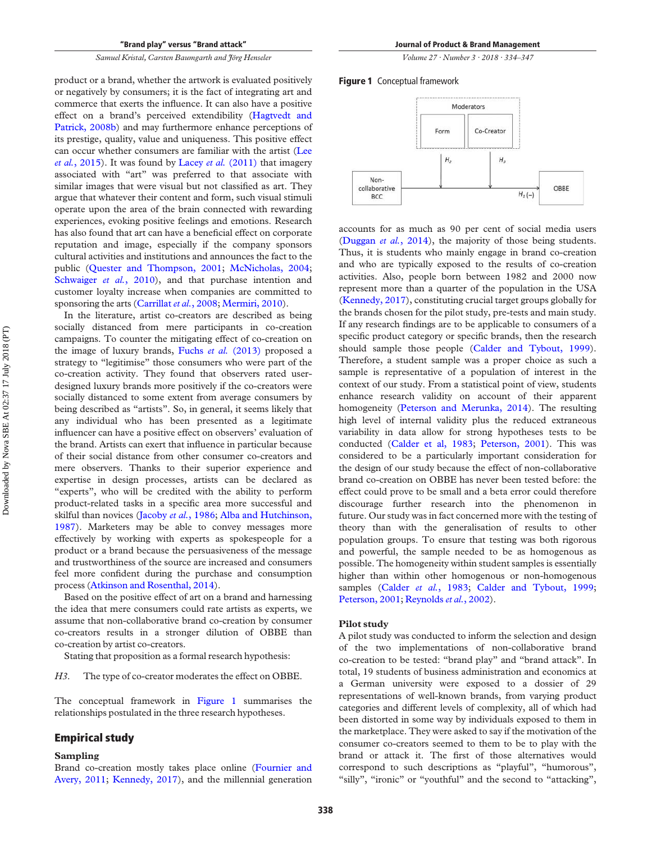product or a brand, whether the artwork is evaluated positively or negatively by consumers; it is the fact of integrating art and commerce that exerts the influence. It can also have a positive effect on a brand's perceived extendibility [\(Hagtvedt and](#page-11-31)  [Patrick, 2008b\)](#page-11-31) and may furthermore enhance perceptions of its prestige, quality, value and uniqueness. This positive effect can occur whether consumers are familiar with the artist ([Lee](#page-12-11)  *et al.*[, 2015](#page-12-11)). It was found by Lacey *et al.* [\(2011\)](#page-12-24) that imagery associated with "art" was preferred to that associate with similar images that were visual but not classified as art. They argue that whatever their content and form, such visual stimuli operate upon the area of the brain connected with rewarding experiences, evoking positive feelings and emotions. Research has also found that art can have a beneficial effect on corporate reputation and image, especially if the company sponsors cultural activities and institutions and announces the fact to the public [\(Quester and Thompson, 2001;](#page-12-25) [McNicholas, 2004](#page-12-26); [Schwaiger](#page-12-27) *et al.*, 2010), and that purchase intention and customer loyalty increase when companies are committed to sponsoring the arts [\(Carrillat](#page-10-11) *et al.*, 2008; [Mermiri, 2010](#page-12-28)).

In the literature, artist co-creators are described as being socially distanced from mere participants in co-creation campaigns. To counter the mitigating effect of co-creation on the image of luxury brands, Fuchs *et al.* [\(2013\)](#page-11-17) proposed a strategy to "legitimise" those consumers who were part of the co-creation activity. They found that observers rated userdesigned luxury brands more positively if the co-creators were socially distanced to some extent from average consumers by being described as "artists". So, in general, it seems likely that any individual who has been presented as a legitimate influencer can have a positive effect on observers' evaluation of the brand. Artists can exert that influence in particular because of their social distance from other consumer co-creators and mere observers. Thanks to their superior experience and expertise in design processes, artists can be declared as "experts", who will be credited with the ability to perform product-related tasks in a specific area more successful and skilful than novices ([Jacoby](#page-11-32) *et al.*, 1986; [Alba and Hutchinson,](#page-10-12)  [1987\)](#page-10-12). Marketers may be able to convey messages more effectively by working with experts as spokespeople for a product or a brand because the persuasiveness of the message and trustworthiness of the source are increased and consumers feel more confident during the purchase and consumption process ([Atkinson and Rosenthal, 2014](#page-10-13)).

Based on the positive effect of art on a brand and harnessing the idea that mere consumers could rate artists as experts, we assume that non-collaborative brand co-creation by consumer co-creators results in a stronger dilution of OBBE than co-creation by artist co-creators.

Stating that proposition as a formal research hypothesis:

*H3*. The type of co-creator moderates the effect on OBBE.

The conceptual framework in [Figure 1](#page-5-0) summarises the relationships postulated in the three research hypotheses.

#### **Empirical study**

#### **Sampling**

Brand co-creation mostly takes place online ([Fournier and](#page-11-6)  [Avery, 2011](#page-11-6); [Kennedy, 2017](#page-12-29)), and the millennial generation *Volume 27 · Number 3 · 2018 · 334–347* 

#### <span id="page-5-0"></span>**Figure 1** Conceptual framework



accounts for as much as 90 per cent of social media users [\(Duggan](#page-11-33) *et al.*, 2014), the majority of those being students. Thus, it is students who mainly engage in brand co-creation and who are typically exposed to the results of co-creation activities. Also, people born between 1982 and 2000 now represent more than a quarter of the population in the USA [\(Kennedy, 2017\)](#page-12-29), constituting crucial target groups globally for the brands chosen for the pilot study, pre-tests and main study. If any research findings are to be applicable to consumers of a specific product category or specific brands, then the research should sample those people ([Calder and Tybout, 1999\)](#page-10-14). Therefore, a student sample was a proper choice as such a sample is representative of a population of interest in the context of our study. From a statistical point of view, students enhance research validity on account of their apparent homogeneity ([Peterson and Merunka, 2014\)](#page-12-30). The resulting high level of internal validity plus the reduced extraneous variability in data allow for strong hypotheses tests to be conducted ([Calder et al, 1983](#page-10-15); [Peterson, 2001](#page-12-31)). This was considered to be a particularly important consideration for the design of our study because the effect of non-collaborative brand co-creation on OBBE has never been tested before: the effect could prove to be small and a beta error could therefore discourage further research into the phenomenon in future. Our study was in fact concerned more with the testing of theory than with the generalisation of results to other population groups. To ensure that testing was both rigorous and powerful, the sample needed to be as homogenous as possible. The homogeneity within student samples is essentially higher than within other homogenous or non-homogenous samples ([Calder](#page-10-15) et al., 1983; [Calder and Tybout, 1999](#page-10-14); [Peterson, 2001;](#page-12-31) [Reynolds](#page-12-32) *et al.*, 2002).

#### **Pilot study**

A pilot study was conducted to inform the selection and design of the two implementations of non-collaborative brand co-creation to be tested: "brand play" and "brand attack". In total, 19 students of business administration and economics at a German university were exposed to a dossier of 29 representations of well-known brands, from varying product categories and different levels of complexity, all of which had been distorted in some way by individuals exposed to them in the marketplace. They were asked to say if the motivation of the consumer co-creators seemed to them to be to play with the brand or attack it. The first of those alternatives would correspond to such descriptions as "playful", "humorous", "silly", "ironic" or "youthful" and the second to "attacking",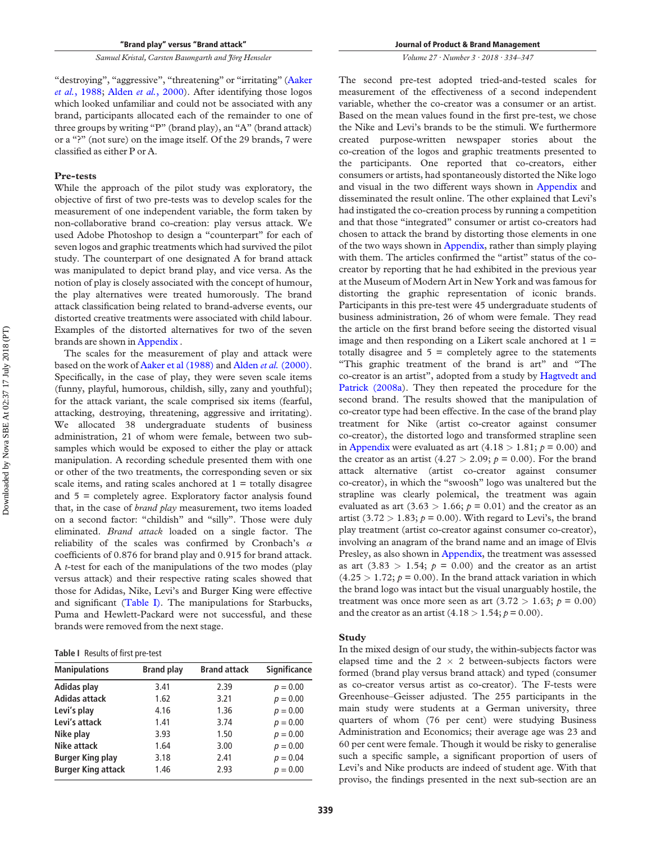"destroying", "aggressive", "threatening" or "irritating" (Aaker *et al.*[, 1988](#page-10-10); [Alden](#page-10-9) *et al.*, 2000). After identifying those logos which looked unfamiliar and could not be associated with any brand, participants allocated each of the remainder to one of three groups by writing "P" (brand play), an "A" (brand attack) or a "?" (not sure) on the image itself. Of the 29 brands, 7 were classified as either P or A.

#### **Pre-tests**

While the approach of the pilot study was exploratory, the objective of first of two pre-tests was to develop scales for the measurement of one independent variable, the form taken by non-collaborative brand co-creation: play versus attack. We used Adobe Photoshop to design a "counterpart" for each of seven logos and graphic treatments which had survived the pilot study. The counterpart of one designated A for brand attack was manipulated to depict brand play, and vice versa. As the notion of play is closely associated with the concept of humour, the play alternatives were treated humorously. The brand attack classification being related to brand-adverse events, our distorted creative treatments were associated with child labour. Examples of the distorted alternatives for two of the seven brands are shown in [Appendix](#page-14-0) .

The scales for the measurement of play and attack were based on the work of [Aaker et al \(1988\)](#page-10-10) and [Alden](#page-10-9) *et al.* (2000). Specifically, in the case of play, they were seven scale items (funny, playful, humorous, childish, silly, zany and youthful); for the attack variant, the scale comprised six items (fearful, attacking, destroying, threatening, aggressive and irritating). We allocated 38 undergraduate students of business administration, 21 of whom were female, between two subsamples which would be exposed to either the play or attack manipulation. A recording schedule presented them with one or other of the two treatments, the corresponding seven or six scale items, and rating scales anchored at  $1 =$  totally disagree and 5 = completely agree. Exploratory factor analysis found that, in the case of *brand play* measurement, two items loaded on a second factor: "childish" and "silly". Those were duly eliminated. *Brand attack* loaded on a single factor. The reliability of the scales was confirmed by Cronbach's  $\alpha$ coefficients of 0.876 for brand play and 0.915 for brand attack. A *t*-test for each of the manipulations of the two modes (play versus attack) and their respective rating scales showed that those for Adidas, Nike, Levi's and Burger King were effective and significant ([Table I\)](#page-6-0). The manipulations for Starbucks, Puma and Hewlett-Packard were not successful, and these brands were removed from the next stage.

<span id="page-6-0"></span>**Table I** Results of first pre-test

| <b>Manipulations</b>      | <b>Brand play</b> | <b>Brand attack</b> | <b>Significance</b> |
|---------------------------|-------------------|---------------------|---------------------|
| Adidas play               | 3.41              | 2.39                | $p = 0.00$          |
| <b>Adidas attack</b>      | 1.62              | 3.21                | $p = 0.00$          |
| Levi's play               | 4.16              | 1.36                | $p = 0.00$          |
| Levi's attack             | 1.41              | 3.74                | $p = 0.00$          |
| Nike play                 | 3.93              | 1.50                | $p = 0.00$          |
| Nike attack               | 1.64              | 3.00                | $p = 0.00$          |
| <b>Burger King play</b>   | 3.18              | 2.41                | $p = 0.04$          |
| <b>Burger King attack</b> | 1.46              | 2.93                | $p = 0.00$          |

*Volume 27 · Number 3 · 2018 · 334–347* 

The second pre-test adopted tried-and-tested scales for measurement of the effectiveness of a second independent variable, whether the co-creator was a consumer or an artist. Based on the mean values found in the first pre-test, we chose the Nike and Levi's brands to be the stimuli. We furthermore created purpose-written newspaper stories about the co-creation of the logos and graphic treatments presented to the participants. One reported that co-creators, either consumers or artists, had spontaneously distorted the Nike logo and visual in the two different ways shown in [Appendix](#page-14-0) and disseminated the result online. The other explained that Levi's had instigated the co-creation process by running a competition and that those "integrated" consumer or artist co-creators had chosen to attack the brand by distorting those elements in one of the two ways shown in [Appendix,](#page-14-0) rather than simply playing with them. The articles confirmed the "artist" status of the cocreator by reporting that he had exhibited in the previous year at the Museum of Modern Art in New York and was famous for distorting the graphic representation of iconic brands. Participants in this pre-test were 45 undergraduate students of business administration, 26 of whom were female. They read the article on the first brand before seeing the distorted visual image and then responding on a Likert scale anchored at 1 = totally disagree and  $5 =$  completely agree to the statements "This graphic treatment of the brand is art" and "The co-creator is an artist", adopted from a study by [Hagtvedt and](#page-11-16)  [Patrick \(2008a](#page-11-16)). They then repeated the procedure for the second brand. The results showed that the manipulation of co-creator type had been effective. In the case of the brand play treatment for Nike (artist co-creator against consumer co-creator), the distorted logo and transformed strapline seen in [Appendix](#page-14-0) were evaluated as art  $(4.18 > 1.81; p = 0.00)$  and the creator as an artist  $(4.27 > 2.09; p = 0.00)$ . For the brand attack alternative (artist co-creator against consumer co-creator), in which the "swoosh" logo was unaltered but the strapline was clearly polemical, the treatment was again evaluated as art  $(3.63 > 1.66; p = 0.01)$  and the creator as an artist  $(3.72 > 1.83; p = 0.00)$ . With regard to Levi's, the brand play treatment (artist co-creator against consumer co-creator), involving an anagram of the brand name and an image of Elvis Presley, as also shown in [Appendix,](#page-14-0) the treatment was assessed as art  $(3.83 > 1.54; p = 0.00)$  and the creator as an artist  $(4.25 > 1.72; p = 0.00)$ . In the brand attack variation in which the brand logo was intact but the visual unarguably hostile, the treatment was once more seen as art  $(3.72 > 1.63; p = 0.00)$ and the creator as an artist  $(4.18 > 1.54; p = 0.00)$ .

#### **Study**

In the mixed design of our study, the within-subjects factor was elapsed time and the  $2 \times 2$  between-subjects factors were formed (brand play versus brand attack) and typed (consumer as co-creator versus artist as co-creator). The F-tests were Greenhouse–Geisser adjusted. The 255 participants in the main study were students at a German university, three quarters of whom (76 per cent) were studying Business Administration and Economics; their average age was 23 and 60 per cent were female. Though it would be risky to generalise such a specific sample, a significant proportion of users of Levi's and Nike products are indeed of student age. With that proviso, the findings presented in the next sub-section are an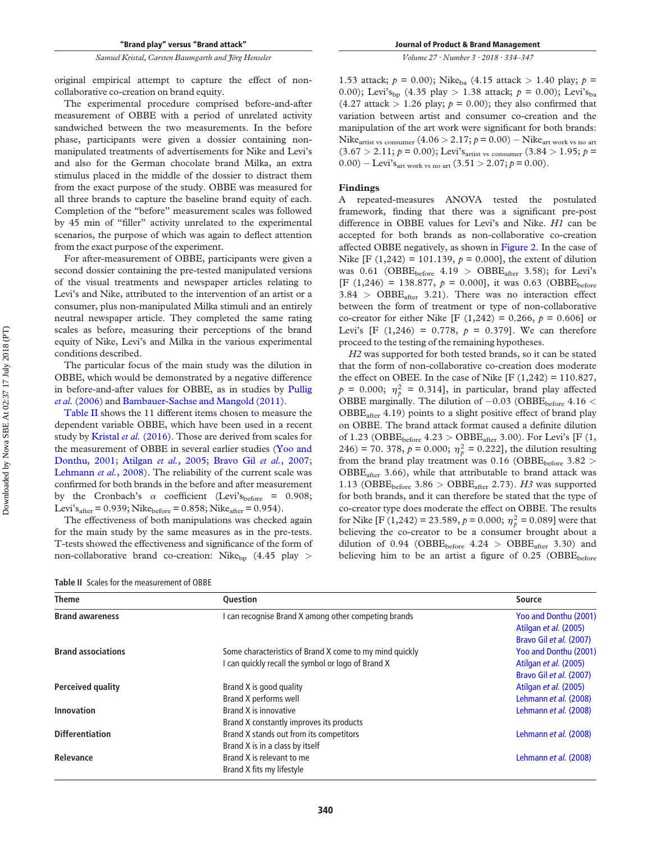The experimental procedure comprised before-and-after measurement of OBBE with a period of unrelated activity sandwiched between the two measurements. In the before phase, participants were given a dossier containing nonmanipulated treatments of advertisements for Nike and Levi's and also for the German chocolate brand Milka, an extra stimulus placed in the middle of the dossier to distract them from the exact purpose of the study. OBBE was measured for all three brands to capture the baseline brand equity of each. Completion of the "before" measurement scales was followed by 45 min of "filler" activity unrelated to the experimental scenarios, the purpose of which was again to deflect attention from the exact purpose of the experiment.

For after-measurement of OBBE, participants were given a second dossier containing the pre-tested manipulated versions of the visual treatments and newspaper articles relating to Levi's and Nike, attributed to the intervention of an artist or a consumer, plus non-manipulated Milka stimuli and an entirely neutral newspaper article. They completed the same rating scales as before, measuring their perceptions of the brand equity of Nike, Levi's and Milka in the various experimental conditions described.

The particular focus of the main study was the dilution in OBBE, which would be demonstrated by a negative difference in before-and-after values for OBBE, as in studies by [Pullig](#page-12-19)  *et al.* [\(2006\)](#page-12-19) and [Bambauer-Sachse and Mangold \(2011\).](#page-10-8)

[Table II](#page-7-0) shows the 11 different items chosen to measure the dependent variable OBBE, which have been used in a recent study by [Kristal](#page-12-18) *et al.* (2016). Those are derived from scales for the measurement of OBBE in several earlier studies ([Yoo and](#page-13-4)  [Donthu, 2001](#page-13-4); [Atilgan](#page-10-16) *et al.*, 2005; [Bravo Gil](#page-10-17) *et al.*, 2007; [Lehmann](#page-12-33) *et al.*, 2008). The reliability of the current scale was confirmed for both brands in the before and after measurement by the Cronbach's  $\alpha$  coefficient (Levi'sbefore = 0.908; Levi's<sub>after</sub> =  $0.939$ ; Nike<sub>before</sub> =  $0.858$ ; Nike<sub>after</sub> =  $0.954$ ).

The effectiveness of both manipulations was checked again for the main study by the same measures as in the pre-tests. T-tests showed the effectiveness and significance of the form of non-collaborative brand co-creation: Nike<sub>bp</sub> (4.45 play >

*Volume 27 · Number 3 · 2018 · 334–347* 

1.53 attack;  $p = 0.00$ ); Nike<sub>ba</sub> (4.15 attack > 1.40 play;  $p =$ 0.00); Levi's<sub>bp</sub> (4.35 play > 1.38 attack;  $p = 0.00$ ); Levi's<sub>ba</sub>  $(4.27 \text{ attack} > 1.26 \text{ play}; p = 0.00)$ ; they also confirmed that variation between artist and consumer co-creation and the manipulation of the art work were significant for both brands: Nike<sub>artist vs consumer  $(4.06 > 2.17; p = 0.00) -$  Nike<sub>art work vs no art</sub></sub>  $(3.67 > 2.11; p = 0.00)$ ; Levi's<sub>artist vs consumer  $(3.84 > 1.95; p =$ </sub>  $(0.00) -$  Levi's<sub>art work vs no art</sub>  $(3.51 > 2.07; p = 0.00)$ .

#### **Findings**

A repeated-measures ANOVA tested the postulated framework, finding that there was a significant pre-post difference in OBBE values for Levi's and Nike. *H1* can be accepted for both brands as non-collaborative co-creation affected OBBE negatively, as shown in [Figure 2](#page-8-0). In the case of Nike [F (1,242) = 101.139,  $p = 0.000$ ], the extent of dilution was 0.61 (OBBE<sub>before</sub> 4.19 > OBBE<sub>after</sub> 3.58); for Levi's  $[F (1,246) = 138.877, p = 0.000],$  it was 0.63 (OBBE<sub>before</sub>  $3.84$  > OBBE<sub>after</sub>  $3.21$ ). There was no interaction effect between the form of treatment or type of non-collaborative co-creator for either Nike [F (1,242) = 0.266,  $p = 0.606$ ] or Levi's [F  $(1,246) = 0.778$ ,  $p = 0.379$ ]. We can therefore proceed to the testing of the remaining hypotheses.

*H2* was supported for both tested brands, so it can be stated that the form of non-collaborative co-creation does moderate the effect on OBEE. In the case of Nike  $[F(1,242) = 110.827,$  $p = 0.000; \eta_p^2 = 0.314$ , in particular, brand play affected OBBE marginally. The dilution of  $-0.03$  (OBBE<sub>before</sub> 4.16 <  $OBBE<sub>after</sub> 4.19$ ) points to a slight positive effect of brand play on OBBE. The brand attack format caused a definite dilution of 1.23 (OBBE<sub>before</sub> 4.23 > OBBE<sub>after</sub> 3.00). For Levi's [F (1,  $246$  = 70. 378,  $p = 0.000$ ;  $\eta_p^2 = 0.222$ , the dilution resulting from the brand play treatment was 0.16 (OBBE<sub>before</sub> 3.82 >  $OBBE<sub>after</sub>$  3.66), while that attributable to brand attack was 1.13 (OBBE<sub>before</sub> 3.86  $>$  OBBE<sub>after</sub> 2.73). *H3* was supported for both brands, and it can therefore be stated that the type of co-creator type does moderate the effect on OBBE. The results for Nike [F (1,242) = 23.589,  $p = 0.000$ ;  $\eta_p^2 = 0.089$ ] were that believing the co-creator to be a consumer brought about a dilution of  $0.94$  (OBBE<sub>before</sub>  $4.24$  > OBBE<sub>after</sub> 3.30) and believing him to be an artist a figure of  $0.25$  (OBBE<sub>before</sub>

<span id="page-7-0"></span>

| <b>Table II</b> Scales for the measurement of OBBE |  |
|----------------------------------------------------|--|
|----------------------------------------------------|--|

| <b>Theme</b>              | Question                                                |                         |
|---------------------------|---------------------------------------------------------|-------------------------|
| <b>Brand awareness</b>    | I can recognise Brand X among other competing brands    | Yoo and Donthu (2001)   |
|                           |                                                         | Atilgan et al. (2005)   |
|                           |                                                         | Bravo Gil et al. (2007) |
| <b>Brand associations</b> | Some characteristics of Brand X come to my mind quickly | Yoo and Donthu (2001)   |
|                           | I can quickly recall the symbol or logo of Brand X      | Atilgan et al. (2005)   |
|                           |                                                         | Bravo Gil et al. (2007) |
| Perceived quality         | Brand X is good quality                                 | Atilgan et al. (2005)   |
|                           | Brand X performs well                                   | Lehmann et al. (2008)   |
| Innovation                | Brand X is innovative                                   | Lehmann et al. (2008)   |
|                           | Brand X constantly improves its products                |                         |
| <b>Differentiation</b>    | Brand X stands out from its competitors                 | Lehmann et al. (2008)   |
|                           | Brand X is in a class by itself                         |                         |
| <b>Relevance</b>          | Brand X is relevant to me                               | Lehmann et al. (2008)   |
|                           | Brand X fits my lifestyle                               |                         |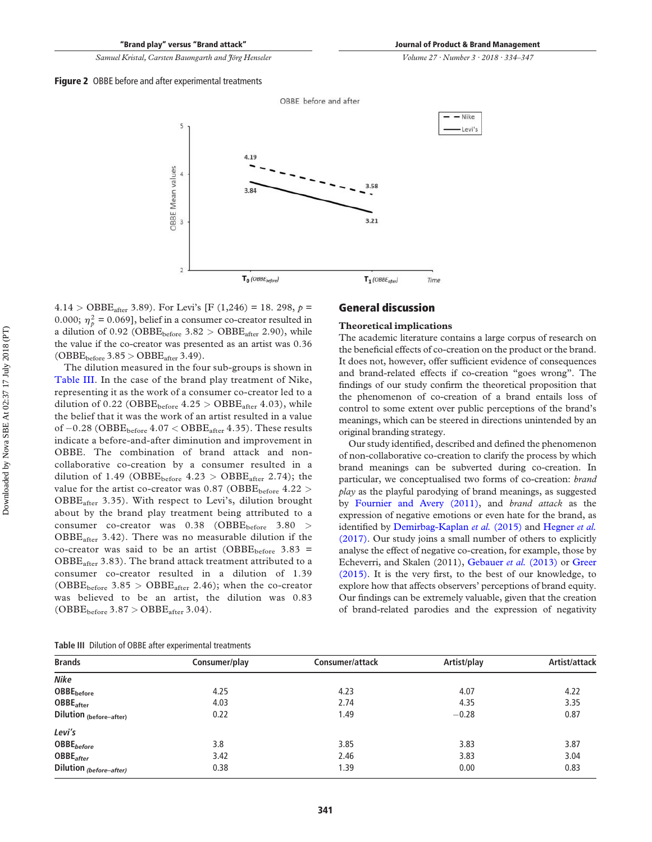*Volume 27 · Number 3 · 2018 · 334–347* 

<span id="page-8-0"></span>



 $4.14 > \text{OBBE}_{\text{after}}$  3.89). For Levi's [F (1,246) = 18. 298,  $p =$ 0.000;  $\eta_p^2 = 0.069$ , belief in a consumer co-creator resulted in a dilution of 0.92 (OBBE<sub>before</sub>  $3.82 > \text{OBBE}_{\text{after}}$  2.90), while the value if the co-creator was presented as an artist was 0.36  $(OBBE<sub>before</sub> 3.85 > OBBE<sub>after</sub> 3.49).$ 

The dilution measured in the four sub-groups is shown in [Table III](#page-8-1). In the case of the brand play treatment of Nike, representing it as the work of a consumer co-creator led to a dilution of 0.22 (OBBE<sub>before</sub>  $4.25 > \text{OBBE}_{\text{after}} 4.03$ ), while the belief that it was the work of an artist resulted in a value of  $-0.28$  (OBBE<sub>before</sub>  $4.07 <$  OBBE<sub>after</sub> 4.35). These results indicate a before-and-after diminution and improvement in OBBE. The combination of brand attack and noncollaborative co-creation by a consumer resulted in a dilution of 1.49 (OBBE<sub>before</sub>  $4.23 >$  OBBE<sub>after</sub> 2.74); the value for the artist co-creator was  $0.87$  (OBBE<sub>before</sub>  $4.22$ ) OBBEafter 3.35). With respect to Levi's, dilution brought about by the brand play treatment being attributed to a consumer co-creator was 0.38 (OBBE<sub>before</sub> 3.80 > OBBEafter 3.42). There was no measurable dilution if the co-creator was said to be an artist (OBBE $_{before}$  3.83 =  $OBBE<sub>after</sub>$  3.83). The brand attack treatment attributed to a consumer co-creator resulted in a dilution of 1.39 (OBBE<sub>before</sub>  $3.85 > \text{OBBE}_{\text{after}}$  2.46); when the co-creator was believed to be an artist, the dilution was 0.83 (OBBE<sub>before</sub> 3.87 > OBBE<sub>after</sub> 3.04).

#### **General discussion**

#### **Theoretical implications**

The academic literature contains a large corpus of research on the beneficial effects of co-creation on the product or the brand. It does not, however, offer sufficient evidence of consequences and brand-related effects if co-creation "goes wrong". The findings of our study confirm the theoretical proposition that the phenomenon of co-creation of a brand entails loss of control to some extent over public perceptions of the brand's meanings, which can be steered in directions unintended by an original branding strategy.

Our study identified, described and defined the phenomenon of non-collaborative co-creation to clarify the process by which brand meanings can be subverted during co-creation. In particular, we conceptualised two forms of co-creation: *brand play* as the playful parodying of brand meanings, as suggested by [Fournier and Avery \(2011\),](#page-11-6) and *brand attack* as the expression of negative emotions or even hate for the brand, as identified by [Demirbag-Kaplan](#page-11-26) *et al.* (2015) and [Hegner](#page-11-7) *et al.*  [\(2017\).](#page-11-7) Our study joins a small number of others to explicitly analyse the effect of negative co-creation, for example, those by Echeverri, and Skalen (2011), [Gebauer](#page-11-11) *et al.* (2013) or [Greer](#page-11-12)  [\(2015\).](#page-11-12) It is the very first, to the best of our knowledge, to explore how that affects observers' perceptions of brand equity. Our findings can be extremely valuable, given that the creation of brand-related parodies and the expression of negativity

<span id="page-8-1"></span>

| Table III Dilution of OBBE after experimental treatments |  |
|----------------------------------------------------------|--|
|----------------------------------------------------------|--|

| <b>Brands</b>                | Consumer/play | Consumer/attack | Artist/play | Artist/attack |
|------------------------------|---------------|-----------------|-------------|---------------|
| Nike                         |               |                 |             |               |
| <b>OBBE</b> before           | 4.25          | 4.23            | 4.07        | 4.22          |
| <b>OBBE</b> <sub>after</sub> | 4.03          | 2.74            | 4.35        | 3.35          |
| Dilution (before-after)      | 0.22          | 1.49            | $-0.28$     | 0.87          |
| Levi's                       |               |                 |             |               |
| OBBE <sub>before</sub>       | 3.8           | 3.85            | 3.83        | 3.87          |
| <b>OBBE</b> <sub>after</sub> | 3.42          | 2.46            | 3.83        | 3.04          |
| Dilution (before-after)      | 0.38          | 1.39            | 0.00        | 0.83          |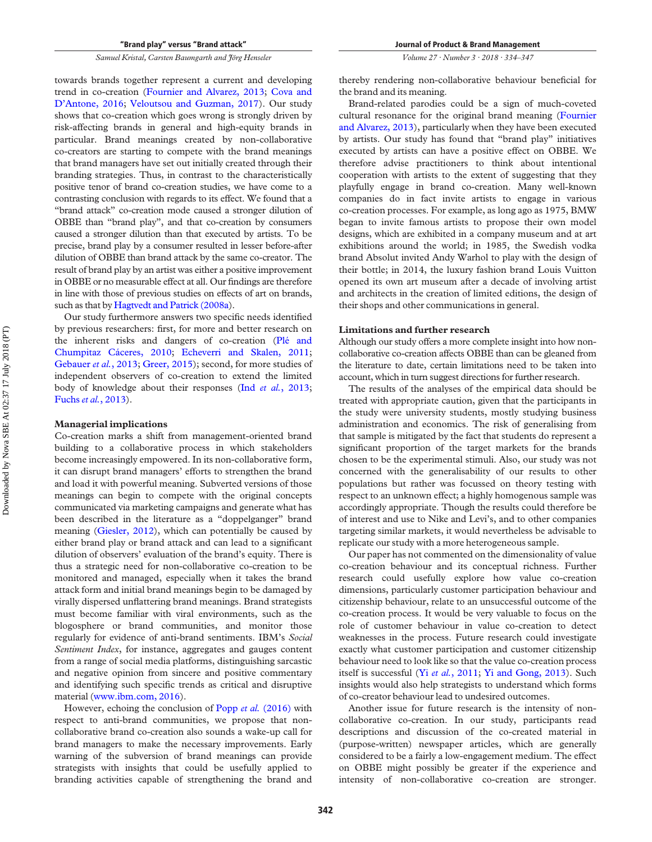towards brands together represent a current and developing trend in co-creation ([Fournier and Alvarez, 2013](#page-11-9); [Cova and](#page-10-3)  [D'Antone, 2016;](#page-10-3) [Veloutsou and Guzman, 2017](#page-13-2)). Our study shows that co-creation which goes wrong is strongly driven by risk-affecting brands in general and high-equity brands in particular. Brand meanings created by non-collaborative co-creators are starting to compete with the brand meanings that brand managers have set out initially created through their branding strategies. Thus, in contrast to the characteristically positive tenor of brand co-creation studies, we have come to a contrasting conclusion with regards to its effect. We found that a "brand attack" co-creation mode caused a stronger dilution of OBBE than "brand play", and that co-creation by consumers caused a stronger dilution than that executed by artists. To be precise, brand play by a consumer resulted in lesser before-after dilution of OBBE than brand attack by the same co-creator. The result of brand play by an artist was either a positive improvement in OBBE or no measurable effect at all. Our findings are therefore in line with those of previous studies on effects of art on brands, such as that by [Hagtvedt and Patrick \(2008a\)](#page-11-16).

Our study furthermore answers two specific needs identified by previous researchers: first, for more and better research on the inherent risks and dangers of co-creation ([Plé and](#page-12-17)  [Chumpitaz Cáceres, 2010;](#page-12-17) [Echeverri and Skalen, 2011](#page-11-10); [Gebauer](#page-11-11) *et al.*, 2013; [Greer, 2015](#page-11-12)); second, for more studies of independent observers of co-creation to extend the limited body of knowledge about their responses (Ind *et al.*[, 2013](#page-11-21); [Fuchs](#page-11-17) *et al.*, 2013).

#### **Managerial implications**

Co-creation marks a shift from management-oriented brand building to a collaborative process in which stakeholders become increasingly empowered. In its non-collaborative form, it can disrupt brand managers' efforts to strengthen the brand and load it with powerful meaning. Subverted versions of those meanings can begin to compete with the original concepts communicated via marketing campaigns and generate what has been described in the literature as a "doppelganger" brand meaning ([Giesler, 2012\)](#page-11-13), which can potentially be caused by either brand play or brand attack and can lead to a significant dilution of observers' evaluation of the brand's equity. There is thus a strategic need for non-collaborative co-creation to be monitored and managed, especially when it takes the brand attack form and initial brand meanings begin to be damaged by virally dispersed unflattering brand meanings. Brand strategists must become familiar with viral environments, such as the blogosphere or brand communities, and monitor those regularly for evidence of anti-brand sentiments. IBM's *Social Sentiment Index*, for instance, aggregates and gauges content from a range of social media platforms, distinguishing sarcastic and negative opinion from sincere and positive commentary and identifying such specific trends as critical and disruptive material ([www.ibm.com, 2016](#page-13-5)).

However, echoing the conclusion of Popp *et al.* [\(2016\)](#page-12-14) with respect to anti-brand communities, we propose that noncollaborative brand co-creation also sounds a wake-up call for brand managers to make the necessary improvements. Early warning of the subversion of brand meanings can provide strategists with insights that could be usefully applied to branding activities capable of strengthening the brand and *Volume 27 · Number 3 · 2018 · 334–347* 

thereby rendering non-collaborative behaviour beneficial for the brand and its meaning.

Brand-related parodies could be a sign of much-coveted cultural resonance for the original brand meaning ([Fournier](#page-11-9)  [and Alvarez, 2013\)](#page-11-9), particularly when they have been executed by artists. Our study has found that "brand play" initiatives executed by artists can have a positive effect on OBBE. We therefore advise practitioners to think about intentional cooperation with artists to the extent of suggesting that they playfully engage in brand co-creation. Many well-known companies do in fact invite artists to engage in various co-creation processes. For example, as long ago as 1975, BMW began to invite famous artists to propose their own model designs, which are exhibited in a company museum and at art exhibitions around the world; in 1985, the Swedish vodka brand Absolut invited Andy Warhol to play with the design of their bottle; in 2014, the luxury fashion brand Louis Vuitton opened its own art museum after a decade of involving artist and architects in the creation of limited editions, the design of their shops and other communications in general.

#### **Limitations and further research**

Although our study offers a more complete insight into how noncollaborative co-creation affects OBBE than can be gleaned from the literature to date, certain limitations need to be taken into account, which in turn suggest directions for further research.

The results of the analyses of the empirical data should be treated with appropriate caution, given that the participants in the study were university students, mostly studying business administration and economics. The risk of generalising from that sample is mitigated by the fact that students do represent a significant proportion of the target markets for the brands chosen to be the experimental stimuli. Also, our study was not concerned with the generalisability of our results to other populations but rather was focussed on theory testing with respect to an unknown effect; a highly homogenous sample was accordingly appropriate. Though the results could therefore be of interest and use to Nike and Levi's, and to other companies targeting similar markets, it would nevertheless be advisable to replicate our study with a more heterogeneous sample.

Our paper has not commented on the dimensionality of value co-creation behaviour and its conceptual richness. Further research could usefully explore how value co-creation dimensions, particularly customer participation behaviour and citizenship behaviour, relate to an unsuccessful outcome of the co-creation process. It would be very valuable to focus on the role of customer behaviour in value co-creation to detect weaknesses in the process. Future research could investigate exactly what customer participation and customer citizenship behaviour need to look like so that the value co-creation process itself is successful (Yi *et al.*[, 2011](#page-13-6); [Yi and Gong, 2013](#page-13-7)). Such insights would also help strategists to understand which forms of co-creator behaviour lead to undesired outcomes.

Another issue for future research is the intensity of noncollaborative co-creation. In our study, participants read descriptions and discussion of the co-created material in (purpose-written) newspaper articles, which are generally considered to be a fairly a low-engagement medium. The effect on OBBE might possibly be greater if the experience and intensity of non-collaborative co-creation are stronger.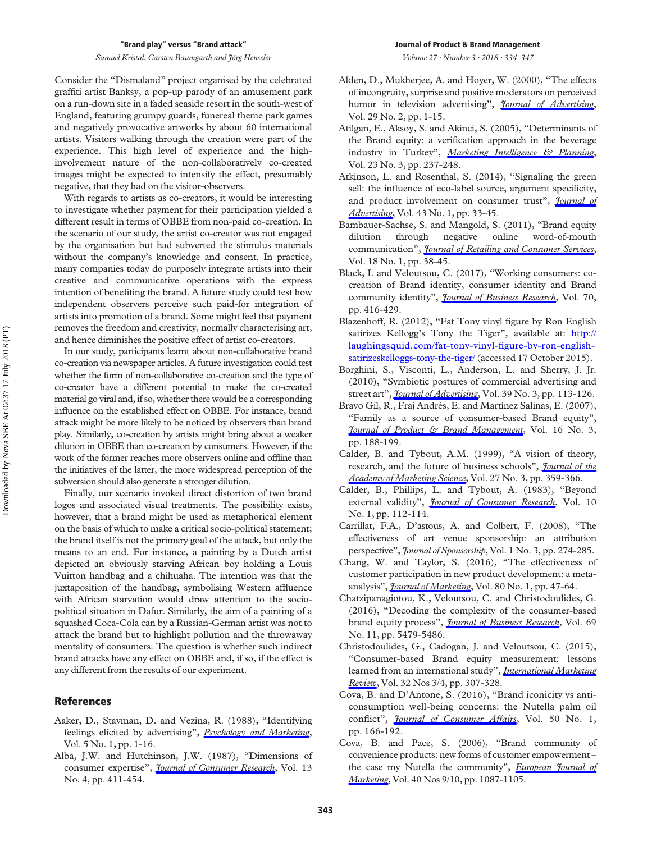Consider the "Dismaland" project organised by the celebrated graffiti artist Banksy, a pop-up parody of an amusement park on a run-down site in a faded seaside resort in the south-west of England, featuring grumpy guards, funereal theme park games and negatively provocative artworks by about 60 international artists. Visitors walking through the creation were part of the experience. This high level of experience and the highinvolvement nature of the non-collaboratively co-created images might be expected to intensify the effect, presumably negative, that they had on the visitor-observers.

With regards to artists as co-creators, it would be interesting to investigate whether payment for their participation yielded a different result in terms of OBBE from non-paid co-creation. In the scenario of our study, the artist co-creator was not engaged by the organisation but had subverted the stimulus materials without the company's knowledge and consent. In practice, many companies today do purposely integrate artists into their creative and communicative operations with the express intention of benefiting the brand. A future study could test how independent observers perceive such paid-for integration of artists into promotion of a brand. Some might feel that payment removes the freedom and creativity, normally characterising art, and hence diminishes the positive effect of artist co-creators.

In our study, participants learnt about non-collaborative brand co-creation via newspaper articles. A future investigation could test whether the form of non-collaborative co-creation and the type of co-creator have a different potential to make the co-created material go viral and, if so, whether there would be a corresponding influence on the established effect on OBBE. For instance, brand attack might be more likely to be noticed by observers than brand play. Similarly, co-creation by artists might bring about a weaker dilution in OBBE than co-creation by consumers. However, if the work of the former reaches more observers online and offline than the initiatives of the latter, the more widespread perception of the subversion should also generate a stronger dilution.

Finally, our scenario invoked direct distortion of two brand logos and associated visual treatments. The possibility exists, however, that a brand might be used as metaphorical element on the basis of which to make a critical socio-political statement; the brand itself is not the primary goal of the attack, but only the means to an end. For instance, a painting by a Dutch artist depicted an obviously starving African boy holding a Louis Vuitton handbag and a chihuaha. The intention was that the juxtaposition of the handbag, symbolising Western affluence with African starvation would draw attention to the sociopolitical situation in Dafur. Similarly, the aim of a painting of a squashed Coca-Cola can by a Russian-German artist was not to attack the brand but to highlight pollution and the throwaway mentality of consumers. The question is whether such indirect brand attacks have any effect on OBBE and, if so, if the effect is any different from the results of our experiment.

#### **References**

- <span id="page-10-10"></span>Aaker, D., Stayman, D. and Vezina, R. (1988), "Identifying feelings elicited by advertising", *[Psychology and Marketing](https://www.emeraldinsight.com/action/showLinks?doi=10.1108%2FJPBM-01-2017-1405&crossref=10.1002%2Fmar.4220050102&citationId=p_1)*, Vol. 5 No. 1, pp. 1-16.
- <span id="page-10-12"></span>Alba, J.W. and Hutchinson, J.W. (1987), "Dimensions of consumer expertise", *[Journal of Consumer Research](https://www.emeraldinsight.com/action/showLinks?doi=10.1108%2FJPBM-01-2017-1405&crossref=10.1086%2F209080&isi=A1987G554200001&citationId=p_2)*, Vol. 13 No. 4, pp. 411-454.

*Volume 27 · Number 3 · 2018 · 334–347* 

- <span id="page-10-9"></span>Alden, D., Mukherjee, A. and Hoyer, W. (2000), "The effects of incongruity, surprise and positive moderators on perceived humor in television advertising", *[Journal of Advertising](https://www.emeraldinsight.com/action/showLinks?doi=10.1108%2FJPBM-01-2017-1405&crossref=10.1080%2F00913367.2000.10673605&isi=000165580800001&citationId=p_3)*, Vol. 29 No. 2, pp. 1-15.
- <span id="page-10-16"></span>Atilgan, E., Aksoy, S. and Akinci, S. (2005), "Determinants of the Brand equity: a verification approach in the beverage industry in Turkey", *[Marketing Intelligence & Planning](https://www.emeraldinsight.com/action/showLinks?doi=10.1108%2FJPBM-01-2017-1405&system=10.1108%2F02634500510597283&citationId=p_4)*, Vol. 23 No. 3, pp. 237-248.
- <span id="page-10-13"></span>Atkinson, L. and Rosenthal, S. (2014), "Signaling the green sell: the influence of eco-label source, argument specificity, and product involvement on consumer trust", *[Journal of](https://www.emeraldinsight.com/action/showLinks?doi=10.1108%2FJPBM-01-2017-1405&crossref=10.1080%2F00913367.2013.834803&isi=000330713500004&citationId=p_5)  [Advertising](https://www.emeraldinsight.com/action/showLinks?doi=10.1108%2FJPBM-01-2017-1405&crossref=10.1080%2F00913367.2013.834803&isi=000330713500004&citationId=p_5)*, Vol. 43 No. 1, pp. 33-45.
- <span id="page-10-8"></span>Bambauer-Sachse, S. and Mangold, S. (2011), "Brand equity dilution through negative online word-of-mouth communication", *[Journal of Retailing and Consumer Services](https://www.emeraldinsight.com/action/showLinks?doi=10.1108%2FJPBM-01-2017-1405&crossref=10.1016%2Fj.jretconser.2010.09.003&citationId=p_6)*, Vol. 18 No. 1, pp. 38-45.
- <span id="page-10-0"></span>Black, I. and Veloutsou, C. (2017), "Working consumers: cocreation of Brand identity, consumer identity and Brand community identity", *[Journal of Business Research](https://www.emeraldinsight.com/action/showLinks?doi=10.1108%2FJPBM-01-2017-1405&crossref=10.1016%2Fj.jbusres.2016.07.012&isi=000388053500045&citationId=p_7)*, Vol. 70, pp. 416-429.
- <span id="page-10-2"></span>Blazenhoff, R. (2012), "Fat Tony vinyl figure by Ron English satirizes Kellogg's Tony the Tiger", available at: [http://](http://laughingsquid.com/fat-tony-vinyl-figure-by-ron-english-satirizeskelloggs-tony-the-tiger/)  [laughingsquid.com/fat-tony-vinyl-figure-by-ron-english](http://laughingsquid.com/fat-tony-vinyl-figure-by-ron-english-satirizeskelloggs-tony-the-tiger/)[satirizeskelloggs-tony-the-tiger/](http://laughingsquid.com/fat-tony-vinyl-figure-by-ron-english-satirizeskelloggs-tony-the-tiger/) (accessed 17 October 2015).
- <span id="page-10-1"></span>Borghini, S., Visconti, L., Anderson, L. and Sherry, J. Jr. (2010), "Symbiotic postures of commercial advertising and street art", *[Journal of Advertising](https://www.emeraldinsight.com/action/showLinks?doi=10.1108%2FJPBM-01-2017-1405&crossref=10.2753%2FJOA0091-3367390308&isi=000281930200008&citationId=p_9)*, Vol. 39 No. 3, pp. 113-126.
- <span id="page-10-17"></span>Bravo Gil, R., Fraj Andrés, E. and Martínez Salinas, E. (2007), "Family as a source of consumer-based Brand equity", *[Journal of Product & Brand Management](https://www.emeraldinsight.com/action/showLinks?doi=10.1108%2FJPBM-01-2017-1405&system=10.1108%2F10610420710751564&citationId=p_10)*, Vol. 16 No. 3, pp. 188-199.
- <span id="page-10-14"></span>Calder, B. and Tybout, A.M. (1999), "A vision of theory, research, and the future of business schools", *[Journal of the](https://www.emeraldinsight.com/action/showLinks?doi=10.1108%2FJPBM-01-2017-1405&crossref=10.1177%2F0092070399273006&isi=000080811800006&citationId=p_11)  [Academy of Marketing Science](https://www.emeraldinsight.com/action/showLinks?doi=10.1108%2FJPBM-01-2017-1405&crossref=10.1177%2F0092070399273006&isi=000080811800006&citationId=p_11)*, Vol. 27 No. 3, pp. 359-366.
- <span id="page-10-15"></span>Calder, B., Phillips, L. and Tybout, A. (1983), "Beyond external validity", *[Journal of Consumer Research](https://www.emeraldinsight.com/action/showLinks?doi=10.1108%2FJPBM-01-2017-1405&crossref=10.1086%2F208950&isi=A1983QX74800010&citationId=p_12)*, Vol. 10 No. 1, pp. 112-114.
- <span id="page-10-11"></span>Carrillat, F.A., D'astous, A. and Colbert, F. (2008), "The effectiveness of art venue sponsorship: an attribution perspective", *Journal of Sponsorship*, Vol. 1 No. 3, pp. 274-285.
- <span id="page-10-5"></span>Chang, W. and Taylor, S. (2016), "The effectiveness of customer participation in new product development: a metaanalysis", *[Journal of Marketing](https://www.emeraldinsight.com/action/showLinks?doi=10.1108%2FJPBM-01-2017-1405&crossref=10.1509%2Fjm.14.0057&isi=000373474300003&citationId=p_14)*, Vol. 80 No. 1, pp. 47-64.
- <span id="page-10-7"></span>Chatzipanagiotou, K., Veloutsou, C. and Christodoulides, G. (2016), "Decoding the complexity of the consumer-based brand equity process", *[Journal of Business Research](https://www.emeraldinsight.com/action/showLinks?doi=10.1108%2FJPBM-01-2017-1405&crossref=10.1016%2Fj.jbusres.2016.04.159&isi=000383936800126&citationId=p_15)*, Vol. 69 No. 11, pp. 5479-5486.
- <span id="page-10-6"></span>Christodoulides, G., Cadogan, J. and Veloutsou, C. (2015), "Consumer-based Brand equity measurement: lessons learned from an international study", *[International Marketing](https://www.emeraldinsight.com/action/showLinks?doi=10.1108%2FJPBM-01-2017-1405&system=10.1108%2FIMR-10-2013-0242&isi=000356441500004&citationId=p_16)  [Review](https://www.emeraldinsight.com/action/showLinks?doi=10.1108%2FJPBM-01-2017-1405&system=10.1108%2FIMR-10-2013-0242&isi=000356441500004&citationId=p_16)*, Vol. 32 Nos 3/4, pp. 307-328.
- <span id="page-10-3"></span>Cova, B. and D'Antone, S. (2016), "Brand iconicity vs anticonsumption well-being concerns: the Nutella palm oil conflict", *[Journal of Consumer Affairs](https://www.emeraldinsight.com/action/showLinks?doi=10.1108%2FJPBM-01-2017-1405&crossref=10.1111%2Fjoca.12082&isi=000372327400008&citationId=p_17)*, Vol. 50 No. 1, pp. 166-192.
- <span id="page-10-4"></span>Cova, B. and Pace, S. (2006), "Brand community of convenience products: new forms of customer empowerment – the case my Nutella the community", *[European Journal of](https://www.emeraldinsight.com/action/showLinks?doi=10.1108%2FJPBM-01-2017-1405&system=10.1108%2F03090560610681023&isi=000241508300011&citationId=p_18)  [Marketing](https://www.emeraldinsight.com/action/showLinks?doi=10.1108%2FJPBM-01-2017-1405&system=10.1108%2F03090560610681023&isi=000241508300011&citationId=p_18)*, Vol. 40 Nos 9/10, pp. 1087-1105.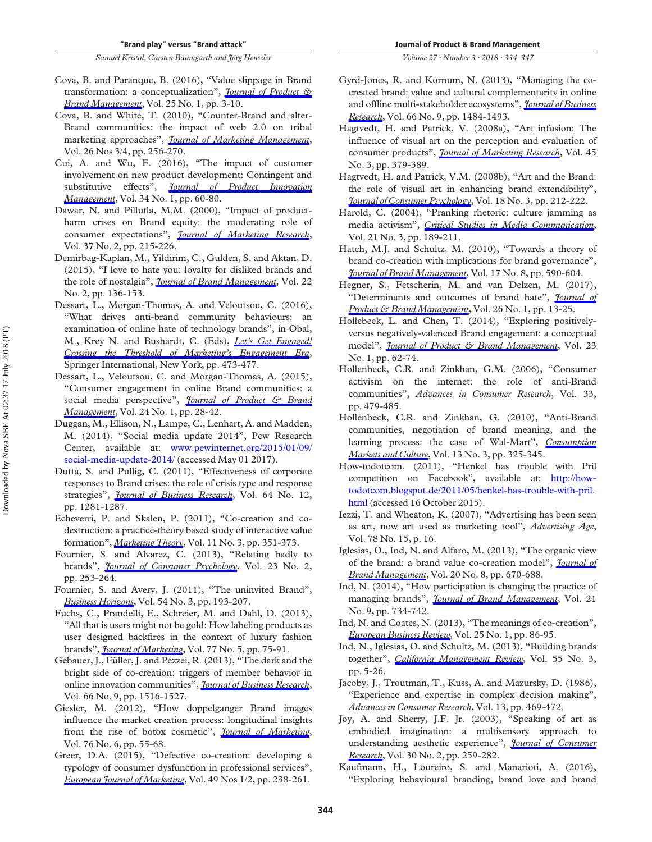- <span id="page-11-4"></span>Cova, B. and Paranque, B. (2016), "Value slippage in Brand transformation: a conceptualization", *[Journal of Product &](https://www.emeraldinsight.com/action/showLinks?doi=10.1108%2FJPBM-01-2017-1405&system=10.1108%2FJPBM-12-2015-1058&isi=000374182300002&citationId=p_19)  [Brand Management](https://www.emeraldinsight.com/action/showLinks?doi=10.1108%2FJPBM-01-2017-1405&system=10.1108%2FJPBM-12-2015-1058&isi=000374182300002&citationId=p_19)*, Vol. 25 No. 1, pp. 3-10.
- <span id="page-11-24"></span>Cova, B. and White, T. (2010), "Counter-Brand and alter-Brand communities: the impact of web 2.0 on tribal marketing approaches", *[Journal of Marketing Management](https://www.emeraldinsight.com/action/showLinks?doi=10.1108%2FJPBM-01-2017-1405&crossref=10.1080%2F02672570903566276&citationId=p_20)*, Vol. 26 Nos 3/4, pp. 256-270.
- <span id="page-11-19"></span>Cui, A. and Wu, F. (2016), "The impact of customer involvement on new product development: Contingent and substitutive effects", *[Journal of Product Innovation](https://www.emeraldinsight.com/action/showLinks?doi=10.1108%2FJPBM-01-2017-1405&crossref=10.1111%2Fjpim.12326&isi=000389406100005&citationId=p_21)  [Management](https://www.emeraldinsight.com/action/showLinks?doi=10.1108%2FJPBM-01-2017-1405&crossref=10.1111%2Fjpim.12326&isi=000389406100005&citationId=p_21)*, Vol. 34 No. 1, pp. 60-80.
- <span id="page-11-28"></span>Dawar, N. and Pillutla, M.M. (2000), "Impact of productharm crises on Brand equity: the moderating role of consumer expectations", *[Journal of Marketing Research](https://www.emeraldinsight.com/action/showLinks?doi=10.1108%2FJPBM-01-2017-1405&crossref=10.1509%2Fjmkr.37.2.215.18729&isi=000087116900006&citationId=p_22)*, Vol. 37 No. 2, pp. 215-226.
- <span id="page-11-26"></span>Demirbag-Kaplan, M., Yildirim, C., Gulden, S. and Aktan, D. (2015), "I love to hate you: loyalty for disliked brands and the role of nostalgia", *[Journal of Brand Management](https://www.emeraldinsight.com/action/showLinks?doi=10.1108%2FJPBM-01-2017-1405&crossref=10.1057%2Fbm.2015.10&isi=000365627800003&citationId=p_23)*, Vol. 22 No. 2, pp. 136-153.
- <span id="page-11-25"></span>Dessart, L., Morgan-Thomas, A. and Veloutsou, C. (2016), "What drives anti-brand community behaviours: an examination of online hate of technology brands", in Obal, M., Krey N. and Bushardt, C. (Eds), *[Let's Get Engaged!](https://www.emeraldinsight.com/action/showLinks?doi=10.1108%2FJPBM-01-2017-1405&crossref=10.1007%2F978-3-319-11815-4_138&citationId=p_24)  [Crossing the Threshold of Marketing's Engagement Era](https://www.emeraldinsight.com/action/showLinks?doi=10.1108%2FJPBM-01-2017-1405&crossref=10.1007%2F978-3-319-11815-4_138&citationId=p_24)*, Springer International, New York, pp. 473-477.
- <span id="page-11-2"></span>Dessart, L., Veloutsou, C. and Morgan-Thomas, A. (2015), "Consumer engagement in online Brand communities: a social media perspective", *[Journal of Product & Brand](https://www.emeraldinsight.com/action/showLinks?doi=10.1108%2FJPBM-01-2017-1405&system=10.1108%2FJPBM-06-2014-0635&isi=000359436600003&citationId=p_25)  [Management](https://www.emeraldinsight.com/action/showLinks?doi=10.1108%2FJPBM-01-2017-1405&system=10.1108%2FJPBM-06-2014-0635&isi=000359436600003&citationId=p_25)*, Vol. 24 No. 1, pp. 28-42.
- <span id="page-11-33"></span>Duggan, M., Ellison, N., Lampe, C., Lenhart, A. and Madden, M. (2014), "Social media update 2014", Pew Research Center, available at: [www.pewinternet.org/2015/01/09/](http://www.pewinternet.org/2015/01/09/social-media-update-2014/)  [social-media-update-2014/](http://www.pewinternet.org/2015/01/09/social-media-update-2014/) (accessed May 01 2017).
- <span id="page-11-27"></span>Dutta, S. and Pullig, C. (2011), "Effectiveness of corporate responses to Brand crises: the role of crisis type and response strategies", *[Journal of Business Research](https://www.emeraldinsight.com/action/showLinks?doi=10.1108%2FJPBM-01-2017-1405&crossref=10.1016%2Fj.jbusres.2011.01.013&isi=000296927600003&citationId=p_27)*, Vol. 64 No. 12, pp. 1281-1287.
- <span id="page-11-10"></span>Echeverri, P. and Skalen, P. (2011), "Co-creation and codestruction: a practice-theory based study of interactive value formation", *[Marketing Theory](https://www.emeraldinsight.com/action/showLinks?doi=10.1108%2FJPBM-01-2017-1405&crossref=10.1177%2F1470593111408181&isi=000295471900007&citationId=p_28)*, Vol. 11 No. 3, pp. 351-373.
- <span id="page-11-9"></span>Fournier, S. and Alvarez, C. (2013), "Relating badly to brands", *[Journal of Consumer Psychology](https://www.emeraldinsight.com/action/showLinks?doi=10.1108%2FJPBM-01-2017-1405&crossref=10.1016%2Fj.jcps.2013.01.004&isi=000317373900010&citationId=p_29)*, Vol. 23 No. 2, pp. 253-264.
- <span id="page-11-6"></span>Fournier, S. and Avery, J. (2011), "The uninvited Brand", *[Business Horizons](https://www.emeraldinsight.com/action/showLinks?doi=10.1108%2FJPBM-01-2017-1405&crossref=10.1016%2Fj.bushor.2011.01.001&isi=000290195900003&citationId=p_30)*, Vol. 54 No. 3, pp. 193-207.
- <span id="page-11-17"></span>Fuchs, C., Prandelli, E., Schreier, M. and Dahl, D. (2013), "All that is users might not be gold: How labeling products as user designed backfires in the context of luxury fashion brands", *[Journal of Marketing](https://www.emeraldinsight.com/action/showLinks?doi=10.1108%2FJPBM-01-2017-1405&crossref=10.1509%2Fjm.11.0330&isi=000323191600005&citationId=p_31)*, Vol. 77 No. 5, pp. 75-91.
- <span id="page-11-11"></span>Gebauer, J., Füller, J. and Pezzei, R. (2013), "The dark and the bright side of co-creation: triggers of member behavior in online innovation communities", *[Journal of Business Research](https://www.emeraldinsight.com/action/showLinks?doi=10.1108%2FJPBM-01-2017-1405&crossref=10.1016%2Fj.jbusres.2012.09.013&isi=000320484600040&citationId=p_32)*, Vol. 66 No. 9, pp. 1516-1527.
- <span id="page-11-13"></span>Giesler, M. (2012), "How doppelganger Brand images influence the market creation process: longitudinal insights from the rise of botox cosmetic", *[Journal of Marketing](https://www.emeraldinsight.com/action/showLinks?doi=10.1108%2FJPBM-01-2017-1405&crossref=10.1509%2Fjm.10.0406&isi=000310042500004&citationId=p_33)*, Vol. 76 No. 6, pp. 55-68.
- <span id="page-11-12"></span>Greer, D.A. (2015), "Defective co-creation: developing a typology of consumer dysfunction in professional services", *[European Journal of Marketing](https://www.emeraldinsight.com/action/showLinks?doi=10.1108%2FJPBM-01-2017-1405&system=10.1108%2FEJM-07-2012-0411&isi=000350577200011&citationId=p_34)*, Vol. 49 Nos 1/2, pp. 238-261.

*Volume 27 · Number 3 · 2018 · 334–347* 

- <span id="page-11-14"></span>Gyrd-Jones, R. and Kornum, N. (2013), "Managing the cocreated brand: value and cultural complementarity in online and offline multi-stakeholder ecosystems", *[Journal of Business](https://www.emeraldinsight.com/action/showLinks?doi=10.1108%2FJPBM-01-2017-1405&crossref=10.1016%2Fj.jbusres.2012.02.045&isi=000320484600037&citationId=p_35)  [Research](https://www.emeraldinsight.com/action/showLinks?doi=10.1108%2FJPBM-01-2017-1405&crossref=10.1016%2Fj.jbusres.2012.02.045&isi=000320484600037&citationId=p_35)*, Vol. 66 No. 9, pp. 1484-1493.
- <span id="page-11-16"></span>Hagtvedt, H. and Patrick, V. (2008a), "Art infusion: The influence of visual art on the perception and evaluation of consumer products", *[Journal of Marketing Research](https://www.emeraldinsight.com/action/showLinks?doi=10.1108%2FJPBM-01-2017-1405&crossref=10.1509%2Fjmkr.45.3.379&isi=000256688300010&citationId=p_36)*, Vol. 45 No. 3, pp. 379-389.
- <span id="page-11-31"></span>Hagtvedt, H. and Patrick, V.M. (2008b), "Art and the Brand: the role of visual art in enhancing brand extendibility", *[Journal of Consumer Psychology](https://www.emeraldinsight.com/action/showLinks?doi=10.1108%2FJPBM-01-2017-1405&crossref=10.1016%2Fj.jcps.2008.04.010&isi=000259158100010&citationId=p_37)*, Vol. 18 No. 3, pp. 212-222.
- <span id="page-11-15"></span>Harold, C. (2004), "Pranking rhetoric: culture jamming as media activism", *[Critical Studies in Media Communication](https://www.emeraldinsight.com/action/showLinks?doi=10.1108%2FJPBM-01-2017-1405&crossref=10.1080%2F0739318042000212693&isi=000222718200001&citationId=p_38)*, Vol. 21 No. 3, pp. 189-211.
- <span id="page-11-20"></span>Hatch, M.J. and Schultz, M. (2010), "Towards a theory of brand co-creation with implications for brand governance", *[Journal of Brand Management](https://www.emeraldinsight.com/action/showLinks?doi=10.1108%2FJPBM-01-2017-1405&crossref=10.1057%2Fbm.2010.14&citationId=p_39)*, Vol. 17 No. 8, pp. 590-604.
- <span id="page-11-7"></span>Hegner, S., Fetscherin, M. and van Delzen, M. (2017), "Determinants and outcomes of brand hate", *[Journal of](https://www.emeraldinsight.com/action/showLinks?doi=10.1108%2FJPBM-01-2017-1405&system=10.1108%2FJPBM-01-2016-1070&isi=000401069600003&citationId=p_40)  [Product & Brand Management](https://www.emeraldinsight.com/action/showLinks?doi=10.1108%2FJPBM-01-2017-1405&system=10.1108%2FJPBM-01-2016-1070&isi=000401069600003&citationId=p_40)*, Vol. 26 No. 1, pp. 13-25.
- <span id="page-11-3"></span>Hollebeek, L. and Chen, T. (2014), "Exploring positivelyversus negatively-valenced Brand engagement: a conceptual model", *[Journal of Product & Brand Management](https://www.emeraldinsight.com/action/showLinks?doi=10.1108%2FJPBM-01-2017-1405&system=10.1108%2FJPBM-06-2013-0332&citationId=p_41)*, Vol. 23 No. 1, pp. 62-74.
- <span id="page-11-22"></span>Hollenbeck, C.R. and Zinkhan, G.M. (2006), "Consumer activism on the internet: the role of anti-Brand communities", *Advances in Consumer Research*, Vol. 33, pp. 479-485.
- <span id="page-11-23"></span>Hollenbeck, C.R. and Zinkhan, G. (2010), "Anti-Brand communities, negotiation of brand meaning, and the learning process: the case of Wal-Mart", *[Consumption](https://www.emeraldinsight.com/action/showLinks?doi=10.1108%2FJPBM-01-2017-1405&crossref=10.1080%2F10253861003787056&isi=000208558500006&citationId=p_43)  [Markets and Culture](https://www.emeraldinsight.com/action/showLinks?doi=10.1108%2FJPBM-01-2017-1405&crossref=10.1080%2F10253861003787056&isi=000208558500006&citationId=p_43)*, Vol. 13 No. 3, pp. 325-345.
- <span id="page-11-8"></span>How-todotcom. (2011), "Henkel has trouble with Pril competition on Facebook", available at: [http://how](http://how-todotcom.blogspot.de/2011/05/henkel-has-trouble-with-pril.html)[todotcom.blogspot.de/2011/05/henkel-has-trouble-with-pril.](http://how-todotcom.blogspot.de/2011/05/henkel-has-trouble-with-pril.html)  [html](http://how-todotcom.blogspot.de/2011/05/henkel-has-trouble-with-pril.html) (accessed 16 October 2015).
- <span id="page-11-29"></span>Iezzi, T. and Wheaton, K. (2007), "Advertising has been seen as art, now art used as marketing tool", *Advertising Age*, Vol. 78 No. 15, p. 16.
- <span id="page-11-1"></span>Iglesias, O., Ind, N. and Alfaro, M. (2013), "The organic view of the brand: a brand value co-creation model", *[Journal of](https://www.emeraldinsight.com/action/showLinks?doi=10.1108%2FJPBM-01-2017-1405&crossref=10.1057%2Fbm.2013.8&citationId=p_46)  [Brand Management](https://www.emeraldinsight.com/action/showLinks?doi=10.1108%2FJPBM-01-2017-1405&crossref=10.1057%2Fbm.2013.8&citationId=p_46)*, Vol. 20 No. 8, pp. 670-688.
- <span id="page-11-5"></span>Ind, N. (2014), "How participation is changing the practice of managing brands", *[Journal of Brand Management](https://www.emeraldinsight.com/action/showLinks?doi=10.1108%2FJPBM-01-2017-1405&crossref=10.1057%2Fbm.2014.35&citationId=p_47)*, Vol. 21 No. 9, pp. 734-742.
- <span id="page-11-18"></span>Ind, N. and Coates, N. (2013), "The meanings of co-creation", *[European Business Review](https://www.emeraldinsight.com/action/showLinks?doi=10.1108%2FJPBM-01-2017-1405&system=10.1108%2F09555341311287754&citationId=p_48)*, Vol. 25 No. 1, pp. 86-95.
- <span id="page-11-21"></span>Ind, N., Iglesias, O. and Schultz, M. (2013), "Building brands together", *[California Management Review](https://www.emeraldinsight.com/action/showLinks?doi=10.1108%2FJPBM-01-2017-1405&crossref=10.1525%2Fcmr.2013.55.3.5&isi=000318386300001&citationId=p_49)*, Vol. 55 No. 3, pp. 5-26.
- <span id="page-11-32"></span>Jacoby, J., Troutman, T., Kuss, A. and Mazursky, D. (1986), "Experience and expertise in complex decision making", *Advances in Consumer Research*, Vol. 13, pp. 469-472.
- <span id="page-11-30"></span>Joy, A. and Sherry, J.F. Jr. (2003), "Speaking of art as embodied imagination: a multisensory approach to understanding aesthetic experience", *[Journal of Consumer](https://www.emeraldinsight.com/action/showLinks?doi=10.1108%2FJPBM-01-2017-1405&crossref=10.1086%2F376802&isi=000185215800008&citationId=p_51)  [Research](https://www.emeraldinsight.com/action/showLinks?doi=10.1108%2FJPBM-01-2017-1405&crossref=10.1086%2F376802&isi=000185215800008&citationId=p_51)*, Vol. 30 No. 2, pp. 259-282.
- <span id="page-11-0"></span>Kaufmann, H., Loureiro, S. and Manarioti, A. (2016), "Exploring behavioural branding, brand love and brand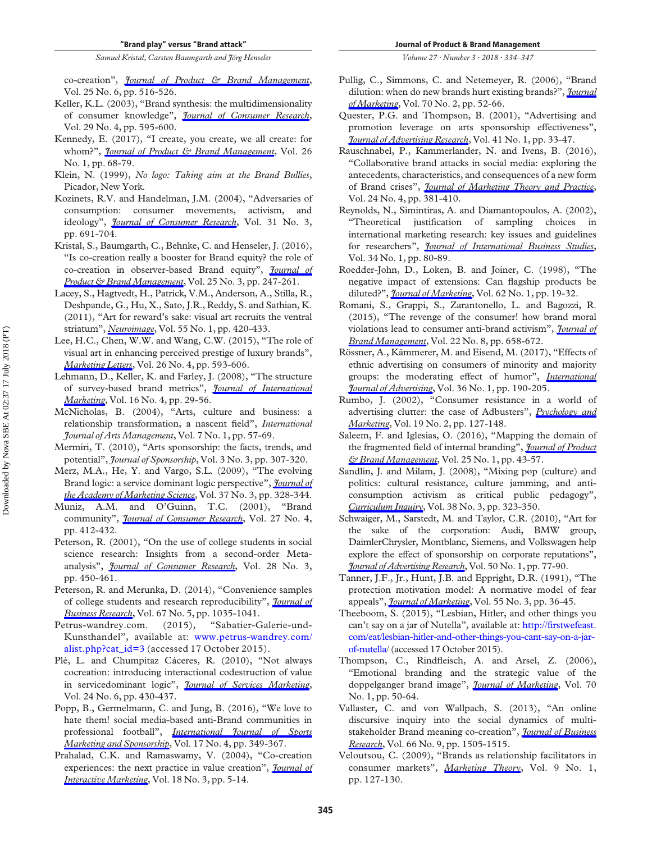co-creation", *[Journal of Product & Brand Management](https://www.emeraldinsight.com/action/showLinks?doi=10.1108%2FJPBM-01-2017-1405&system=10.1108%2FJPBM-06-2015-0919&isi=000384906900003&citationId=p_52)*, Vol. 25 No. 6, pp. 516-526.

- <span id="page-12-20"></span>Keller, K.L. (2003), "Brand synthesis: the multidimensionality of consumer knowledge", *[Journal of Consumer Research](https://www.emeraldinsight.com/action/showLinks?doi=10.1108%2FJPBM-01-2017-1405&crossref=10.1086%2F346254&isi=000181972200013&citationId=p_53)*, Vol. 29 No. 4, pp. 595-600.
- <span id="page-12-29"></span>Kennedy, E. (2017), "I create, you create, we all create: for whom?", *[Journal of Product & Brand Management](https://www.emeraldinsight.com/action/showLinks?doi=10.1108%2FJPBM-01-2017-1405&system=10.1108%2FJPBM-01-2016-1078&isi=000401069600007&citationId=p_54)*, Vol. 26 No. 1, pp. 68-79.
- <span id="page-12-5"></span>Klein, N. (1999), *No logo: Taking aim at the Brand Bullies*, Picador, New York.
- <span id="page-12-15"></span>Kozinets, R.V. and Handelman, J.M. (2004), "Adversaries of consumption: consumer movements, activism, and ideology", *[Journal of Consumer Research](https://www.emeraldinsight.com/action/showLinks?doi=10.1108%2FJPBM-01-2017-1405&crossref=10.1086%2F425104&isi=000225417400021&citationId=p_56)*, Vol. 31 No. 3, pp. 691-704.
- <span id="page-12-18"></span>Kristal, S., Baumgarth, C., Behnke, C. and Henseler, J. (2016), "Is co-creation really a booster for Brand equity? the role of co-creation in observer-based Brand equity", *[Journal of](https://www.emeraldinsight.com/action/showLinks?doi=10.1108%2FJPBM-01-2017-1405&system=10.1108%2FJPBM-05-2015-0893&isi=000379340200004&citationId=p_57)  [Product & Brand Management](https://www.emeraldinsight.com/action/showLinks?doi=10.1108%2FJPBM-01-2017-1405&system=10.1108%2FJPBM-05-2015-0893&isi=000379340200004&citationId=p_57)*, Vol. 25 No. 3, pp. 247-261.
- <span id="page-12-24"></span>Lacey, S., Hagtvedt, H., Patrick, V.M., Anderson, A., Stilla, R., Deshpande, G., Hu, X., Sato, J.R., Reddy, S. and Sathian, K. (2011), "Art for reward's sake: visual art recruits the ventral striatum", *[Neuroimage](https://www.emeraldinsight.com/action/showLinks?doi=10.1108%2FJPBM-01-2017-1405&crossref=10.1016%2Fj.neuroimage.2010.11.027&isi=000287008900042&citationId=p_58)*, Vol. 55 No. 1, pp. 420-433.
- <span id="page-12-11"></span>Lee, H.C., Chen, W.W. and Wang, C.W. (2015), "The role of visual art in enhancing perceived prestige of luxury brands", *[Marketing Letters](https://www.emeraldinsight.com/action/showLinks?doi=10.1108%2FJPBM-01-2017-1405&crossref=10.1007%2Fs11002-014-9292-3&isi=000365014600015&citationId=p_59)*, Vol. 26 No. 4, pp. 593-606.
- <span id="page-12-33"></span>Lehmann, D., Keller, K. and Farley, J. (2008), "The structure of survey-based brand metrics", *[Journal of International](https://www.emeraldinsight.com/action/showLinks?doi=10.1108%2FJPBM-01-2017-1405&crossref=10.1509%2Fjimk.16.4.29&isi=000261583900002&citationId=p_60)  [Marketing](https://www.emeraldinsight.com/action/showLinks?doi=10.1108%2FJPBM-01-2017-1405&crossref=10.1509%2Fjimk.16.4.29&isi=000261583900002&citationId=p_60)*, Vol. 16 No. 4, pp. 29-56.
- <span id="page-12-26"></span>McNicholas, B. (2004), "Arts, culture and business: a relationship transformation, a nascent field", *International Journal of Arts Management*, Vol. 7 No. 1, pp. 57-69.
- <span id="page-12-28"></span>Mermiri, T. (2010), "Arts sponsorship: the facts, trends, and potential", *Journal of Sponsorship*, Vol. 3 No. 3, pp. 307-320.
- <span id="page-12-0"></span>Merz, M.A., He, Y. and Vargo, S.L. (2009), "The evolving Brand logic: a service dominant logic perspective", *[Journal of](https://www.emeraldinsight.com/action/showLinks?doi=10.1108%2FJPBM-01-2017-1405&crossref=10.1007%2Fs11747-009-0143-3&isi=000269194700006&citationId=p_63)  [the Academy of Marketing Science](https://www.emeraldinsight.com/action/showLinks?doi=10.1108%2FJPBM-01-2017-1405&crossref=10.1007%2Fs11747-009-0143-3&isi=000269194700006&citationId=p_63)*, Vol. 37 No. 3, pp. 328-344.
- <span id="page-12-13"></span>Muniz, A.M. and O'Guinn, T.C. (2001), "Brand community", *[Journal of Consumer Research](https://www.emeraldinsight.com/action/showLinks?doi=10.1108%2FJPBM-01-2017-1405&crossref=10.1086%2F319618&isi=000167708800002&citationId=p_64)*, Vol. 27 No. 4, pp. 412-432.
- <span id="page-12-31"></span>Peterson, R. (2001), "On the use of college students in social science research: Insights from a second-order Metaanalysis", *[Journal of Consumer Research](https://www.emeraldinsight.com/action/showLinks?doi=10.1108%2FJPBM-01-2017-1405&crossref=10.1086%2F323732&isi=000172762300007&citationId=p_65)*, Vol. 28 No. 3, pp. 450-461.
- <span id="page-12-30"></span>Peterson, R. and Merunka, D. (2014), "Convenience samples of college students and research reproducibility", *[Journal of](https://www.emeraldinsight.com/action/showLinks?doi=10.1108%2FJPBM-01-2017-1405&crossref=10.1016%2Fj.jbusres.2013.08.010&isi=000333775900055&citationId=p_66)  [Business Research](https://www.emeraldinsight.com/action/showLinks?doi=10.1108%2FJPBM-01-2017-1405&crossref=10.1016%2Fj.jbusres.2013.08.010&isi=000333775900055&citationId=p_66)*, Vol. 67 No. 5, pp. 1035-1041.
- <span id="page-12-7"></span>Petrus-wandrey.com. (2015), "Sabatier-Galerie-und-Kunsthandel", available at: [www.petrus-wandrey.com/](http://www.petrus-wandrey.com/alist.php?cat_id=3) [alist.php?cat\\_id=3](http://www.petrus-wandrey.com/alist.php?cat_id=3) (accessed 17 October 2015).
- <span id="page-12-17"></span>Plé, L. and Chumpitaz Cáceres, R. (2010), "Not always cocreation: introducing interactional codestruction of value in servicedominant logic", *[Journal of Services Marketing](https://www.emeraldinsight.com/action/showLinks?doi=10.1108%2FJPBM-01-2017-1405&system=10.1108%2F08876041011072546&isi=000285072400003&citationId=p_68)*, Vol. 24 No. 6, pp. 430-437.
- <span id="page-12-14"></span>Popp, B., Germelmann, C. and Jung, B. (2016), "We love to hate them! social media-based anti-Brand communities in professional football", *[International Journal of Sports](https://www.emeraldinsight.com/action/showLinks?doi=10.1108%2FJPBM-01-2017-1405&system=10.1108%2FIJSMS-11-2016-018&isi=000387099300004&citationId=p_69)  [Marketing and Sponsorship](https://www.emeraldinsight.com/action/showLinks?doi=10.1108%2FJPBM-01-2017-1405&system=10.1108%2FIJSMS-11-2016-018&isi=000387099300004&citationId=p_69)*, Vol. 17 No. 4, pp. 349-367.
- <span id="page-12-12"></span>Prahalad, C.K. and Ramaswamy, V. (2004), "Co-creation experiences: the next practice in value creation", *[Journal of](https://www.emeraldinsight.com/action/showLinks?doi=10.1108%2FJPBM-01-2017-1405&crossref=10.1002%2Fdir.20015&citationId=p_70)  [Interactive Marketing](https://www.emeraldinsight.com/action/showLinks?doi=10.1108%2FJPBM-01-2017-1405&crossref=10.1002%2Fdir.20015&citationId=p_70)*, Vol. 18 No. 3, pp. 5-14.
- <span id="page-12-19"></span>Pullig, C., Simmons, C. and Netemeyer, R. (2006), "Brand dilution: when do new brands hurt existing brands?", *[Journal](https://www.emeraldinsight.com/action/showLinks?doi=10.1108%2FJPBM-01-2017-1405&crossref=10.1509%2Fjmkg.70.2.52&isi=000236721900004&citationId=p_71)  [of Marketing](https://www.emeraldinsight.com/action/showLinks?doi=10.1108%2FJPBM-01-2017-1405&crossref=10.1509%2Fjmkg.70.2.52&isi=000236721900004&citationId=p_71)*, Vol. 70 No. 2, pp. 52-66.
- <span id="page-12-25"></span>Quester, P.G. and Thompson, B. (2001), "Advertising and promotion leverage on arts sponsorship effectiveness", *[Journal of Advertising Research](https://www.emeraldinsight.com/action/showLinks?doi=10.1108%2FJPBM-01-2017-1405&crossref=10.2501%2FJAR-41-1-33-47&isi=000168353800004&citationId=p_72)*, Vol. 41 No. 1, pp. 33-47.
- <span id="page-12-8"></span>Rauschnabel, P., Kammerlander, N. and Ivens, B. (2016), "Collaborative brand attacks in social media: exploring the antecedents, characteristics, and consequences of a new form of Brand crises", *[Journal of Marketing Theory and Practice](https://www.emeraldinsight.com/action/showLinks?doi=10.1108%2FJPBM-01-2017-1405&crossref=10.1080%2F10696679.2016.1205452&isi=000383886400001&citationId=p_73)*, Vol. 24 No. 4, pp. 381-410.
- <span id="page-12-32"></span>Reynolds, N., Simintiras, A. and Diamantopoulos, A. (2002), "Theoretical justification of sampling choices in international marketing research: key issues and guidelines for researchers", *[Journal of International Business Studies](https://www.emeraldinsight.com/action/showLinks?doi=10.1108%2FJPBM-01-2017-1405&crossref=10.1057%2Fpalgrave.jibs.8400000&isi=000183984600007&citationId=p_74)*, Vol. 34 No. 1, pp. 80-89.
- <span id="page-12-22"></span>Roedder-John, D., Loken, B. and Joiner, C. (1998), "The negative impact of extensions: Can flagship products be diluted?", *[Journal of Marketing](https://www.emeraldinsight.com/action/showLinks?doi=10.1108%2FJPBM-01-2017-1405&crossref=10.2307%2F1251800&isi=000071536100003&citationId=p_75)*, Vol. 62 No. 1, pp. 19-32.
- <span id="page-12-10"></span>Romani, S., Grappi, S., Zarantonello, L. and Bagozzi, R. (2015), "The revenge of the consumer! how brand moral violations lead to consumer anti-brand activism", *[Journal of](https://www.emeraldinsight.com/action/showLinks?doi=10.1108%2FJPBM-01-2017-1405&crossref=10.1057%2Fbm.2015.38&isi=000369692900002&citationId=p_76)  [Brand Management](https://www.emeraldinsight.com/action/showLinks?doi=10.1108%2FJPBM-01-2017-1405&crossref=10.1057%2Fbm.2015.38&isi=000369692900002&citationId=p_76)*, Vol. 22 No. 8, pp. 658-672.
- <span id="page-12-21"></span>Rössner, A., Kämmerer, M. and Eisend, M. (2017), "Effects of ethnic advertising on consumers of minority and majority groups: the moderating effect of humor", *[International](https://www.emeraldinsight.com/action/showLinks?doi=10.1108%2FJPBM-01-2017-1405&crossref=10.1080%2F02650487.2016.1168907&isi=000393299200011&citationId=p_77)  [Journal of Advertising](https://www.emeraldinsight.com/action/showLinks?doi=10.1108%2FJPBM-01-2017-1405&crossref=10.1080%2F02650487.2016.1168907&isi=000393299200011&citationId=p_77)*, Vol. 36 No. 1, pp. 190-205.
- <span id="page-12-16"></span>Rumbo, J. (2002), "Consumer resistance in a world of advertising clutter: the case of Adbusters", *[Psychology and](https://www.emeraldinsight.com/action/showLinks?doi=10.1108%2FJPBM-01-2017-1405&crossref=10.1002%2Fmar.10006&isi=000173409300002&citationId=p_78)  [Marketing](https://www.emeraldinsight.com/action/showLinks?doi=10.1108%2FJPBM-01-2017-1405&crossref=10.1002%2Fmar.10006&isi=000173409300002&citationId=p_78)*, Vol. 19 No. 2, pp. 127-148.
- <span id="page-12-3"></span>Saleem, F. and Iglesias, O. (2016), "Mapping the domain of the fragmented field of internal branding", *[Journal of Product](https://www.emeraldinsight.com/action/showLinks?doi=10.1108%2FJPBM-01-2017-1405&system=10.1108%2FJPBM-11-2014-0751&isi=000374182300005&citationId=p_79)  [& Brand Management](https://www.emeraldinsight.com/action/showLinks?doi=10.1108%2FJPBM-01-2017-1405&system=10.1108%2FJPBM-11-2014-0751&isi=000374182300005&citationId=p_79)*, Vol. 25 No. 1, pp. 43-57.
- <span id="page-12-6"></span>Sandlin, J. and Milam, J. (2008), "Mixing pop (culture) and politics: cultural resistance, culture jamming, and anticonsumption activism as critical public pedagogy", *[Curriculum Inquiry](https://www.emeraldinsight.com/action/showLinks?doi=10.1108%2FJPBM-01-2017-1405&crossref=10.1111%2Fj.1467-873X.2008.00411.x&isi=000256054500005&citationId=p_80)*, Vol. 38 No. 3, pp. 323-350.
- <span id="page-12-27"></span>Schwaiger, M., Sarstedt, M. and Taylor, C.R. (2010), "Art for the sake of the corporation: Audi, BMW group, DaimlerChrysler, Montblanc, Siemens, and Volkswagen help explore the effect of sponsorship on corporate reputations", *[Journal of Advertising Research](https://www.emeraldinsight.com/action/showLinks?doi=10.1108%2FJPBM-01-2017-1405&crossref=10.2501%2FS0021849910091208&isi=000275834600011&citationId=p_81)*, Vol. 50 No. 1, pp. 77-90.
- <span id="page-12-23"></span>Tanner, J.F., Jr., Hunt, J.B. and Eppright, D.R. (1991), "The protection motivation model: A normative model of fear appeals", *[Journal of Marketing](https://www.emeraldinsight.com/action/showLinks?doi=10.1108%2FJPBM-01-2017-1405&crossref=10.2307%2F1252146&isi=A1991FW76800004&citationId=p_82)*, Vol. 55 No. 3, pp. 36-45.
- <span id="page-12-4"></span>Theeboom, S. (2015), "Lesbian, Hitler, and other things you can't say on a jar of Nutella", available at: [http://firstwefeast.](http://firstwefeast.com/eat/lesbian-hitler-and-other-things-you-cant-say-on-a-jar-of-nutella)  [com/eat/lesbian-hitler-and-other-things-you-cant-say-on-a-jar](http://firstwefeast.com/eat/lesbian-hitler-and-other-things-you-cant-say-on-a-jar-of-nutella)[of-nutella/](http://firstwefeast.com/eat/lesbian-hitler-and-other-things-you-cant-say-on-a-jar-of-nutella) (accessed 17 October 2015).
- <span id="page-12-9"></span>Thompson, C., Rindfleisch, A. and Arsel, Z. (2006), "Emotional branding and the strategic value of the doppelganger brand image", *[Journal of Marketing](https://www.emeraldinsight.com/action/showLinks?doi=10.1108%2FJPBM-01-2017-1405&crossref=10.1509%2Fjmkg.2006.70.1.50&isi=000234551300005&citationId=p_84)*, Vol. 70 No. 1, pp. 50-64.
- <span id="page-12-2"></span>Vallaster, C. and von Wallpach, S. (2013), "An online discursive inquiry into the social dynamics of multistakeholder Brand meaning co-creation", *[Journal of Business](https://www.emeraldinsight.com/action/showLinks?doi=10.1108%2FJPBM-01-2017-1405&crossref=10.1016%2Fj.jbusres.2012.09.012&isi=000320484600039&citationId=p_85)  [Research](https://www.emeraldinsight.com/action/showLinks?doi=10.1108%2FJPBM-01-2017-1405&crossref=10.1016%2Fj.jbusres.2012.09.012&isi=000320484600039&citationId=p_85)*, Vol. 66 No. 9, pp. 1505-1515.
- <span id="page-12-1"></span>Veloutsou, C. (2009), "Brands as relationship facilitators in consumer markets", *[Marketing Theory](https://www.emeraldinsight.com/action/showLinks?doi=10.1108%2FJPBM-01-2017-1405&crossref=10.1177%2F1470593108100068&isi=000275604800012&citationId=p_86)*, Vol. 9 No. 1, pp. 127-130.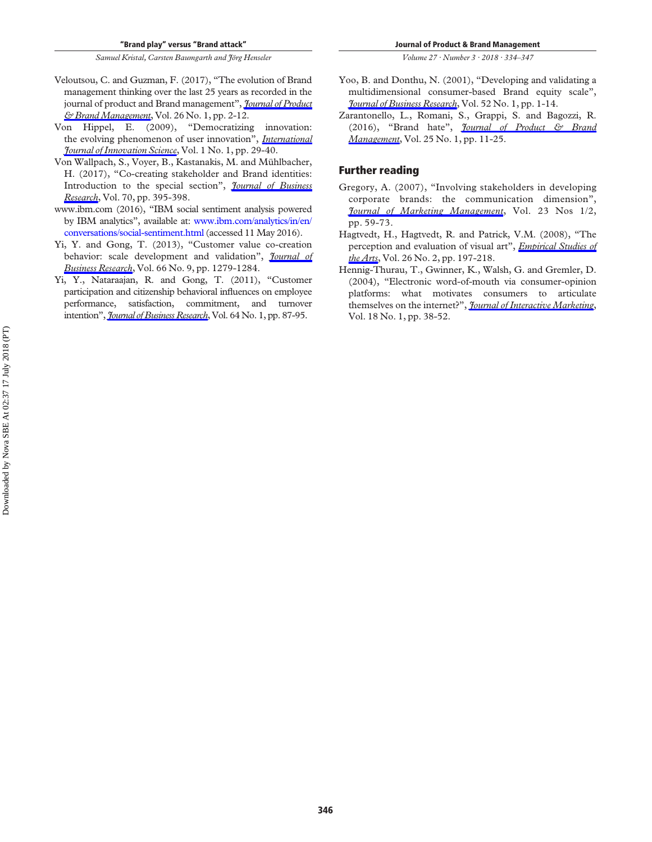- <span id="page-13-2"></span>Veloutsou, C. and Guzman, F. (2017), "The evolution of Brand management thinking over the last 25 years as recorded in the journal of product and Brand management", *[Journal of Product](https://www.emeraldinsight.com/action/showLinks?doi=10.1108%2FJPBM-01-2017-1405&system=10.1108%2FJPBM-01-2017-1398&isi=000401069600002&citationId=p_87)  [& Brand Management](https://www.emeraldinsight.com/action/showLinks?doi=10.1108%2FJPBM-01-2017-1405&system=10.1108%2FJPBM-01-2017-1398&isi=000401069600002&citationId=p_87)*, Vol. 26 No. 1, pp. 2-12.
- <span id="page-13-3"></span>Von Hippel, E. (2009), "Democratizing innovation: the evolving phenomenon of user innovation", *[International](https://www.emeraldinsight.com/action/showLinks?doi=10.1108%2FJPBM-01-2017-1405&system=10.1260%2F175722209787951224&citationId=p_88)  [Journal of Innovation Science](https://www.emeraldinsight.com/action/showLinks?doi=10.1108%2FJPBM-01-2017-1405&system=10.1260%2F175722209787951224&citationId=p_88)*, Vol. 1 No. 1, pp. 29-40.
- <span id="page-13-0"></span>Von Wallpach, S., Voyer, B., Kastanakis, M. and Mühlbacher, H. (2017), "Co-creating stakeholder and Brand identities: Introduction to the special section", *[Journal of Business](https://www.emeraldinsight.com/action/showLinks?doi=10.1108%2FJPBM-01-2017-1405&crossref=10.1016%2Fj.jbusres.2016.08.028&isi=000388053500041&citationId=p_89)  [Research](https://www.emeraldinsight.com/action/showLinks?doi=10.1108%2FJPBM-01-2017-1405&crossref=10.1016%2Fj.jbusres.2016.08.028&isi=000388053500041&citationId=p_89)*, Vol. 70, pp. 395-398.
- <span id="page-13-5"></span>www.ibm.com (2016), "IBM social sentiment analysis powered by IBM analytics", available at: [www.ibm.com/analytics/in/en/](http://www.ibm.com/analytics/in/en/conversations/social-sentiment.html)  [conversations/social-sentiment.html](http://www.ibm.com/analytics/in/en/conversations/social-sentiment.html) (accessed 11 May 2016).
- <span id="page-13-7"></span>Yi, Y. and Gong, T. (2013), "Customer value co-creation behavior: scale development and validation", *[Journal of](https://www.emeraldinsight.com/action/showLinks?doi=10.1108%2FJPBM-01-2017-1405&crossref=10.1016%2Fj.jbusres.2012.02.026&isi=000320484600008&citationId=p_91)  [Business Research](https://www.emeraldinsight.com/action/showLinks?doi=10.1108%2FJPBM-01-2017-1405&crossref=10.1016%2Fj.jbusres.2012.02.026&isi=000320484600008&citationId=p_91)*, Vol. 66 No. 9, pp. 1279-1284.
- <span id="page-13-6"></span>Yi, Y., Nataraajan, R. and Gong, T. (2011), "Customer participation and citizenship behavioral influences on employee performance, satisfaction, commitment, and turnover intention", *[Journal of Business Research](https://www.emeraldinsight.com/action/showLinks?doi=10.1108%2FJPBM-01-2017-1405&crossref=10.1016%2Fj.jbusres.2009.12.007&isi=000285899200018&citationId=p_92)*, Vol. 64 No. 1, pp. 87-95.

*Volume 27 · Number 3 · 2018 · 334–347* 

- <span id="page-13-4"></span>Yoo, B. and Donthu, N. (2001), "Developing and validating a multidimensional consumer-based Brand equity scale", *[Journal of Business Research](https://www.emeraldinsight.com/action/showLinks?doi=10.1108%2FJPBM-01-2017-1405&crossref=10.1016%2FS0148-2963%2899%2900098-3&isi=000167831900001&citationId=p_93)*, Vol. 52 No. 1, pp. 1-14.
- <span id="page-13-1"></span>Zarantonello, L., Romani, S., Grappi, S. and Bagozzi, R. (2016), "Brand hate", *[Journal of Product & Brand](https://www.emeraldinsight.com/action/showLinks?doi=10.1108%2FJPBM-01-2017-1405&system=10.1108%2FJPBM-01-2015-0799&isi=000374182300003&citationId=p_94)  [Management](https://www.emeraldinsight.com/action/showLinks?doi=10.1108%2FJPBM-01-2017-1405&system=10.1108%2FJPBM-01-2015-0799&isi=000374182300003&citationId=p_94)*, Vol. 25 No. 1, pp. 11-25.

#### **Further reading**

- Gregory, A. (2007), "Involving stakeholders in developing corporate brands: the communication dimension", *[Journal of Marketing Management](https://www.emeraldinsight.com/action/showLinks?doi=10.1108%2FJPBM-01-2017-1405&crossref=10.1362%2F026725707X178558&citationId=p_95)*, Vol. 23 Nos 1/2, pp. 59-73.
- Hagtvedt, H., Hagtvedt, R. and Patrick, V.M. (2008), "The perception and evaluation of visual art", *[Empirical Studies of](https://www.emeraldinsight.com/action/showLinks?doi=10.1108%2FJPBM-01-2017-1405&crossref=10.2190%2FEM.26.2.d&citationId=p_96)  [the Arts](https://www.emeraldinsight.com/action/showLinks?doi=10.1108%2FJPBM-01-2017-1405&crossref=10.2190%2FEM.26.2.d&citationId=p_96)*, Vol. 26 No. 2, pp. 197-218.
- Hennig-Thurau, T., Gwinner, K., Walsh, G. and Gremler, D. (2004), "Electronic word-of-mouth via consumer-opinion platforms: what motivates consumers to articulate themselves on the internet?", *[Journal of Interactive Marketing](https://www.emeraldinsight.com/action/showLinks?doi=10.1108%2FJPBM-01-2017-1405&crossref=10.1002%2Fdir.10073&citationId=p_97)*, Vol. 18 No. 1, pp. 38-52.